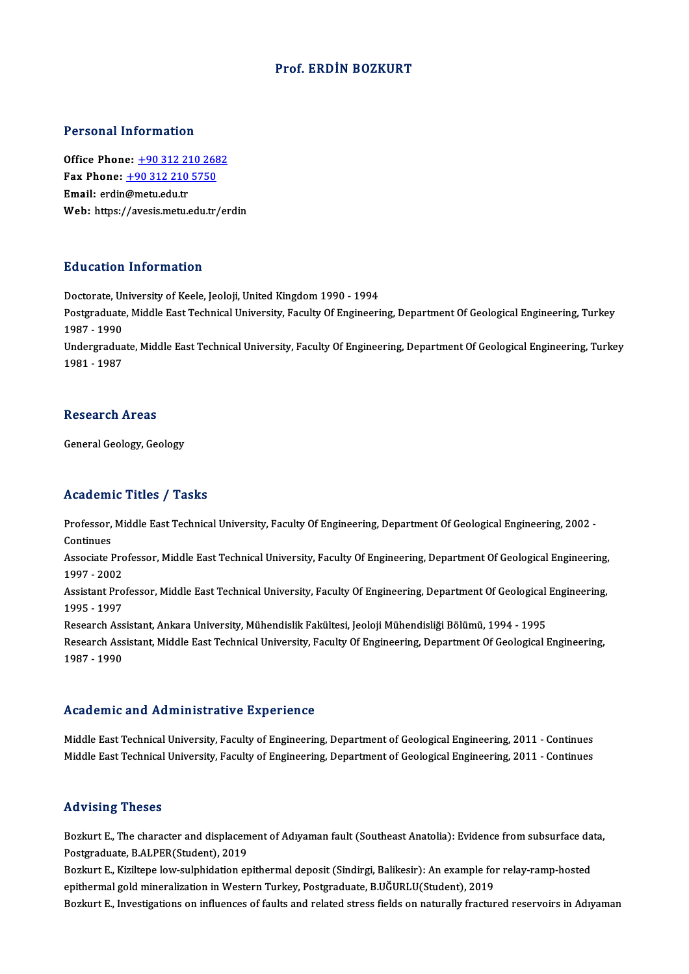#### Prof. ERDİN BOZKURT

#### Personal Information

Office Phone: +90 312 210 2682 1 0100111 11101 1111011<br>
0ffice Phone: <u>+90 312 210 268</u><br>
Fax Phone: <u>+90 312 210 5750</u> Office Phone: <u>+90 312 22</u><br>Fax Phone: <u>+90 312 210</u><br>Email: erdin@[metu.edu.tr](tel:+90 312 210 2682)<br>Web: https://avesis.msty. Email: erdin@metu.edu.tr<br>Web: https:/[/avesis.metu.edu.tr](tel:+90 312 210 5750)/erdin

#### Education Information

Education Information<br>Doctorate, University of Keele, Jeoloji, United Kingdom 1990 - 1994<br>Postaraduate Middle Fest Technical University, Fesulty Of Engineeri Pu u curren Timon indefon<br>Doctorate, University of Keele, Jeoloji, United Kingdom 1990 - 1994<br>Postgraduate, Middle East Technical University, Faculty Of Engineering, Department Of Geological Engineering, Turkey Doctorate, Ur<br>Postgraduate<br>1987 - 1990<br>Undergradue Postgraduate, Middle East Technical University, Faculty Of Engineering, Department Of Geological Engineering, Turkey<br>1987 - 1990<br>Undergraduate, Middle East Technical University, Faculty Of Engineering, Department Of Geolog 1987 - 1990<br>Undergraduate, Middle East Technical University, Faculty Of Engineering, Department Of Geological Engineering, Turkey<br>1981 - 1987

#### Research Areas

General Geology, Geology

#### Academic Titles / Tasks

Academic Titles / Tasks<br>Professor, Middle East Technical University, Faculty Of Engineering, Department Of Geological Engineering, 2002 -<br>Continues Professor,<br>Continues<br>Associate I Professor, Middle East Technical University, Faculty Of Engineering, Department Of Geological Engineering, 2002<br>Continues<br>Associate Professor, Middle East Technical University, Faculty Of Engineering, Department Of Geologi

Continues<br>Associate Pro<br>1997 - 2002<br>Assistant Pro Associate Professor, Middle East Technical University, Faculty Of Engineering, Department Of Geological Engineering,<br>1997 - 2002<br>Assistant Professor, Middle East Technical University, Faculty Of Engineering, Department Of

1997 - 2002<br>Assistant Professor, Middle East Technical University, Faculty Of Engineering, Department Of Geological Engineering,<br>1995 - 1997 Assistant Professor, Middle East Technical University, Faculty Of Engineering, Department Of Geological<br>1995 - 1997<br>Research Assistant, Ankara University, Mühendislik Fakültesi, Jeoloji Mühendisliği Bölümü, 1994 - 1995<br>Res

1995 - 1997<br>Research Assistant, Ankara University, Mühendislik Fakültesi, Jeoloji Mühendisliği Bölümü, 1994 - 1995<br>Research Assistant, Middle East Technical University, Faculty Of Engineering, Department Of Geological Engi Research Ass<br>Research Ass<br>1987 - 1990

# 1987 - 1990<br>Academic and Administrative Experience

Academic and Administrative Experience<br>Middle East Technical University, Faculty of Engineering, Department of Geological Engineering, 2011 - Continues<br>Middle Fast Technical University, Faculty of Engineering, Department o rroud onne and traintineerative Enportonce<br>Middle East Technical University, Faculty of Engineering, Department of Geological Engineering, 2011 - Continues<br>Middle East Technical University, Faculty of Engineering, Departme Middle East Technical University, Faculty of Engineering, Department of Geological Engineering, 2011 - Continues<br>Advising Theses

Advising Theses<br>Bozkurt E., The character and displacement of Adıyaman fault (Southeast Anatolia): Evidence from subsurface data,<br>Restanaduate P.AJ PER(Student), 2019 Postgraduate, B.ALPER(Student), 2019 Bozkurt E., The character and displacement of Adıyaman fault (Southeast Anatolia): Evidence from subsurface da<br>Postgraduate, B.ALPER(Student), 2019<br>Bozkurt E., Kiziltepe low-sulphidation epithermal deposit (Sindirgi, Balik

Bozkurt E., Kiziltepe low-sulphidation epithermal deposit (Sindirgi, Balikesir): An example for relay-ramp-hosted<br>epithermal gold mineralization in Western Turkey, Postgraduate, B.UĞURLU(Student), 2019

Bozkurt E., Investigations on influences of faults and related stress fields on naturally fractured reservoirs in Adıyaman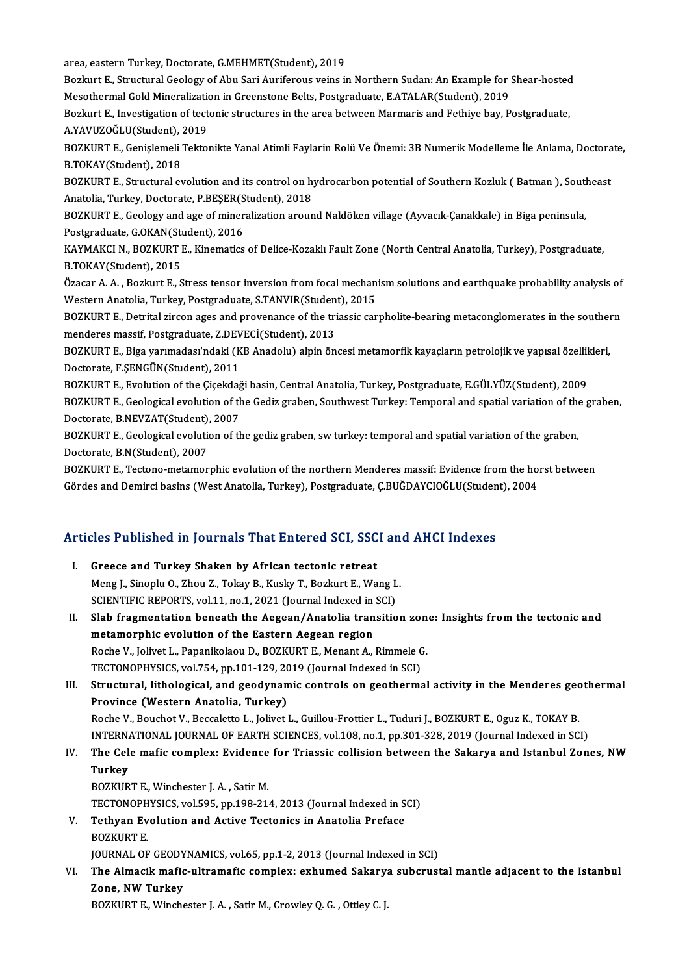area, eastern Turkey, Doctorate, G.MEHMET(Student), 2019

area, eastern Turkey, Doctorate, G.MEHMET(Student), 2019<br>Bozkurt E., Structural Geology of Abu Sari Auriferous veins in Northern Sudan: An Example for Shear-hosted<br>Messthermal Cold Mineralization in Creenstone Belte Bestan area, eastern Turkey, Doctorate, G.MEHMET(Student), 2019<br>Bozkurt E., Structural Geology of Abu Sari Auriferous veins in Northern Sudan: An Example for :<br>Mesothermal Gold Mineralization in Greenstone Belts, Postgraduate, E. Bozkurt E., Structural Geology of Abu Sari Auriferous veins in Northern Sudan: An Example for Shear-hosted<br>Mesothermal Gold Mineralization in Greenstone Belts, Postgraduate, E.ATALAR(Student), 2019<br>Bozkurt E., Investigatio

Mesothermal Gold Mineralization<br>Bozkurt E., Investigation of tect<br>A.YAVUZOĞLU(Student), 2019<br>POZKUPT E. Conislameli Tekto Bozkurt E., Investigation of tectonic structures in the area between Marmaris and Fethiye bay, Postgraduate,<br>A.YAVUZOĞLU(Student), 2019<br>BOZKURT E., Genişlemeli Tektonikte Yanal Atimli Faylarin Rolü Ve Önemi: 3B Numerik Mod

A.YAVUZOĞLU(Student), 2019<br>BOZKURT E., Genişlemeli Tekto<br>B.TOKAY(Student), 2018 BOZKURT E., Genişlemeli Tektonikte Yanal Atimli Faylarin Rolü Ve Önemi: 3B Numerik Modelleme İle Anlama, Doctora<br>B.TOKAY(Student), 2018<br>BOZKURT E., Structural evolution and its control on hydrocarbon potential of Southern

BOZKURT E., Structural evolution and its control on hydrocarbon potential of Southern Kozluk (Batman), Southeast<br>Anatolia, Turkey, Doctorate, P.BEŞER(Student), 2018 BOZKURT E., Structural evolution and its control on hydrocarbon potential of Southern Kozluk ( Batman ), Soutl<br>Anatolia, Turkey, Doctorate, P.BEŞER(Student), 2018<br>BOZKURT E., Geology and age of mineralization around Naldök

Anatolia, Turkey, Doctorate, P.BEŞER(S<br>BOZKURT E., Geology and age of miner<br>Postgraduate, G.OKAN(Student), 2016<br>KANMAKCLN, POZKUPT E. Kinomatiss BOZKURT E., Geology and age of mineralization around Naldöken village (Ayvacık-Çanakkale) in Biga peninsula,<br>Postgraduate, G.OKAN(Student), 2016<br>KAYMAKCI N., BOZKURT E., Kinematics of Delice-Kozaklı Fault Zone (North Centr

Postgraduate, G.OKAN(Student), 2016<br>KAYMAKCI N., BOZKURT E., Kinematics of Delice-Kozaklı Fault Zone (North Central Anatolia, Turkey), Postgraduate,<br>B.TOKAY(Student), 2015 KAYMAKCI N., BOZKURT E., Kinematics of Delice-Kozaklı Fault Zone (North Central Anatolia, Turkey), Postgraduate,<br>B.TOKAY(Student), 2015<br>Özacar A. A. , Bozkurt E., Stress tensor inversion from focal mechanism solutions and

B.TOKAY(Student), 2015<br>Özacar A. A. , Bozkurt E., Stress tensor inversion from focal mechan<br>Western Anatolia, Turkey, Postgraduate, S.TANVIR(Student), 2015<br>POZKUPT E. Detrital girson ages and provenance of the triassis sen Özacar A. A. , Bozkurt E., Stress tensor inversion from focal mechanism solutions and earthquake probability analysis of<br>Western Anatolia, Turkey, Postgraduate, S.TANVIR(Student), 2015<br>BOZKURT E., Detrital zircon ages and

Western Anatolia, Turkey, Postgraduate, S.TANVIR(Student), 2015<br>BOZKURT E., Detrital zircon ages and provenance of the triassic carpholite-bearing metaconglomerates in the souther<br>menderes massif, Postgraduate, Z.DEVECİ(St BOZKURT E., Detrital zircon ages and provenance of the triassic carpholite-bearing metaconglomerates in the southern

Doctorate,F.ŞENGÜN(Student),2011 BOZKURT E., Biga yarımadası'ndaki (KB Anadolu) alpin öncesi metamorfik kayaçların petrolojik ve yapısal özellil<br>Doctorate, F.ŞENGÜN(Student), 2011<br>BOZKURT E., Evolution of the Çiçekdaği basin, Central Anatolia, Turkey, Pos

Doctorate, F.ŞENGÜN(Student), 2011<br>BOZKURT E., Evolution of the Çiçekdaği basin, Central Anatolia, Turkey, Postgraduate, E.GÜLYÜZ(Student), 2009<br>BOZKURT E., Geological evolution of the Gediz graben, Southwest Turkey: Tempo BOZKURT E., Evolution of the Çiçekdağ<br>BOZKURT E., Geological evolution of th<br>Doctorate, B.NEVZAT(Student), 2007<br>BOZKUPT E. Ceological evolution of th BOZKURT E., Geological evolution of the Gediz graben, Southwest Turkey: Temporal and spatial variation of the<br>Doctorate, B.NEVZAT(Student), 2007<br>BOZKURT E., Geological evolution of the gediz graben, sw turkey: temporal and

Doctorate, B.NEVZAT(Student),<br>BOZKURT E., Geological evolution<br>Doctorate, B.N(Student), 2007<br>BOZKUPT E. Testone, metamer BOZKURT E., Geological evolution of the gediz graben, sw turkey: temporal and spatial variation of the graben,<br>Doctorate, B.N(Student), 2007<br>BOZKURT E., Tectono-metamorphic evolution of the northern Menderes massif: Eviden

Doctorate, B.N(Student), 2007<br>BOZKURT E., Tectono-metamorphic evolution of the northern Menderes massif: Evidence from the horst between<br>Gördes and Demirci basins (West Anatolia, Turkey), Postgraduate, Ç.BUĞDAYCIOĞLU(Stude

# uordes and Demirci basins (west Anatolia, Turkey), Postgraduate, C.BOGDAYClOGLO(Studen<br>Articles Published in Journals That Entered SCI, SSCI and AHCI Indexes

|     | Articles Published in Journals That Entered SCI, SSCI and AHCI Indexes                                         |
|-----|----------------------------------------------------------------------------------------------------------------|
| Ι.  | Greece and Turkey Shaken by African tectonic retreat                                                           |
|     | Meng J., Sinoplu O., Zhou Z., Tokay B., Kusky T., Bozkurt E., Wang L.                                          |
|     | SCIENTIFIC REPORTS, vol.11, no.1, 2021 (Journal Indexed in SCI)                                                |
| II. | Slab fragmentation beneath the Aegean/Anatolia transition zone: Insights from the tectonic and                 |
|     | metamorphic evolution of the Eastern Aegean region                                                             |
|     | Roche V., Jolivet L., Papanikolaou D., BOZKURT E., Menant A., Rimmele G.                                       |
|     | TECTONOPHYSICS, vol.754, pp.101-129, 2019 (Journal Indexed in SCI)                                             |
| Ш.  | Structural, lithological, and geodynamic controls on geothermal activity in the Menderes geothermal            |
|     | Province (Western Anatolia, Turkey)                                                                            |
|     | Roche V., Bouchot V., Beccaletto L., Jolivet L., Guillou-Frottier L., Tuduri J., BOZKURT E., Oguz K., TOKAY B. |
|     | INTERNATIONAL JOURNAL OF EARTH SCIENCES, vol.108, no.1, pp.301-328, 2019 (Journal Indexed in SCI)              |
| IV. | The Cele mafic complex: Evidence for Triassic collision between the Sakarya and Istanbul Zones, NW             |
|     | Turkey                                                                                                         |
|     | BOZKURT E., Winchester J. A., Satir M.                                                                         |
|     | TECTONOPHYSICS, vol.595, pp.198-214, 2013 (Journal Indexed in SCI)                                             |
| V.  | Tethyan Evolution and Active Tectonics in Anatolia Preface                                                     |
|     | <b>BOZKURT E.</b>                                                                                              |
|     | JOURNAL OF GEODYNAMICS, vol.65, pp.1-2, 2013 (Journal Indexed in SCI)                                          |
| VI. | The Almacik mafic-ultramafic complex: exhumed Sakarya subcrustal mantle adjacent to the Istanbul               |
|     | Zone, NW Turkey                                                                                                |
|     | BOZKURT E., Winchester J. A., Satir M., Crowley Q. G., Ottley C. J.                                            |
|     |                                                                                                                |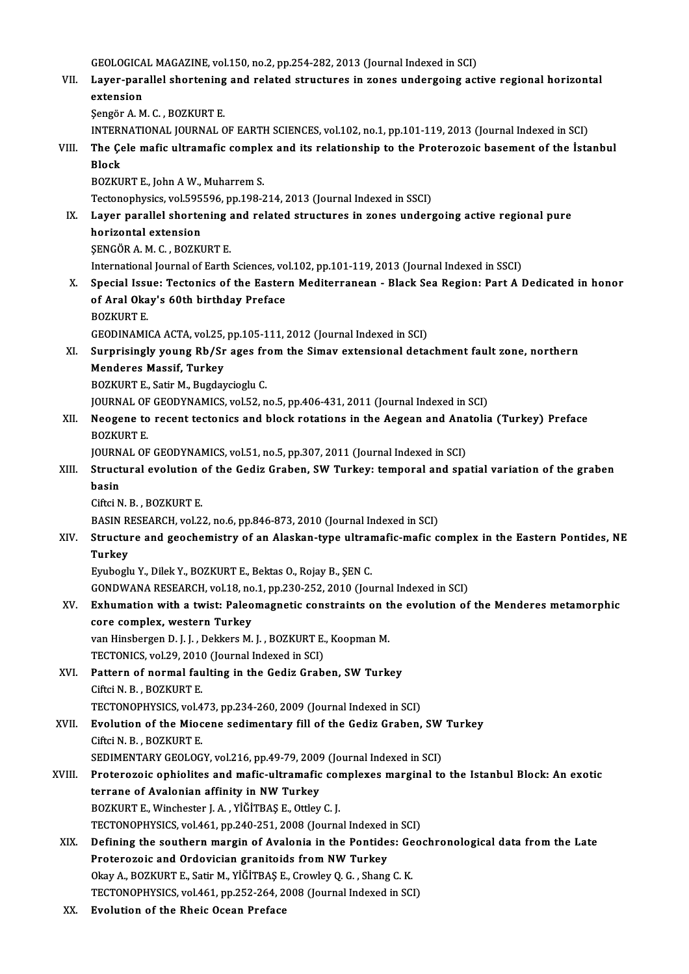GEOLOGICAL MAGAZINE, vol.150, no.2, pp.254-282, 2013 (Journal Indexed in SCI)<br>Laver perallel shortening and related structures in gance undergoing ast

VII. Layer-parallel shortening and related structures in zones undergoing active regional horizontal<br>extension GEOLOGICA<br>Layer-para<br>extension<br>Sengën A M ŞengörA.M.C. ,BOZKURTE. extension<br>Şengör A. M. C. , BOZKURT E.<br>INTERNATIONAL JOURNAL OF EARTH SCIENCES, vol.102, no.1, pp.101-119, 2013 (Journal Indexed in SCI)<br>The Cele mafie ultramafie complex and its relationship to the Proterozois becoment of

Sengör A. M. C. , BOZKURT E.<br>INTERNATIONAL JOURNAL OF EARTH SCIENCES, vol.102, no.1, pp.101-119, 2013 (Journal Indexed in SCI)<br>VIII. The Çele mafic ultramafic complex and its relationship to the Proterozoic basement of **INTERI<br>The Çe<br>Block**<br>POZKU The Çele mafic ultramafic comple<br>Block<br>BOZKURT E., John A W., Muharrem S.<br>Testanophysiss, vol 505596, np 199-3 Block<br>BOZKURT E., John A W., Muharrem S.<br>Tectonophysics, vol.595596, pp.198-214, 2013 (Journal Indexed in SSCI)<br>Laver narallel shortening and related structures in genes under:

### BOZKURT E., John A W., Muharrem S.<br>Tectonophysics, vol.595596, pp.198-214, 2013 (Journal Indexed in SSCI)<br>IX. Layer parallel shortening and related structures in zones undergoing active regional pure<br>horizontal extension Tectonophysics, vol.595<br>Layer parallel shorte<br>horizontal extension<br>SENCÕR A M C - BOZKI Layer parallel shortening<br>horizontal extension<br>ŞENGÖR A. M. C. , BOZKURT E.<br>International Journal of Forth horizontal extension<br>SENGÖR A. M. C. , BOZKURT E.<br>International Journal of Earth Sciences, vol.102, pp.101-119, 2013 (Journal Indexed in SSCI)

SENGÖR A. M. C. , BOZKURT E.<br>International Journal of Earth Sciences, vol.102, pp.101-119, 2013 (Journal Indexed in SSCI)<br>X. Special Issue: Tectonics of the Eastern Mediterranean - Black Sea Region: Part A Dedicated in hon International Journal of Earth Sciences, vo<br>Special Issue: Tectonics of the Easter<br>of Aral Okay's 60th birthday Preface<br>POZKUPT E Special Iss<mark><br>of Aral Oka</mark><br>BOZKURT E.<br>CEODIMAM! of Aral Okay's 60th birthday Preface<br>BOZKURT E.<br>GEODINAMICA ACTA, vol.25, pp.105-111, 2012 (Journal Indexed in SCI)

BOZKURT E.<br>GEODINAMICA ACTA, vol.25, pp.105-111, 2012 (Journal Indexed in SCI)<br>XI. Surprisingly young Rb/Sr ages from the Simav extensional detachment fault zone, northern<br>Mondones Mossif, Turkey GEODINAMICA ACTA, vol.25,<br>Surprisingly young Rb/Sr<br>Menderes Massif, Turkey<br>POZKUPT E. Satir M. Bugday Surprisingly young Rb/Sr ages freed<br>Menderes Massif, Turkey<br>BOZKURT E., Satir M., Bugdaycioglu C.<br>JOUPMAL OF CEODYNAMICS xpl 52 n Menderes Massif, Turkey<br>BOZKURT E., Satir M., Bugdaycioglu C.<br>JOURNAL OF GEODYNAMICS, vol.52, no.5, pp.406-431, 2011 (Journal Indexed in SCI)<br>Neogene to resent testoniss and block retations in the Asseen and Anatolis

BOZKURT E., Satir M., Bugdaycioglu C.<br>JOURNAL OF GEODYNAMICS, vol.52, no.5, pp.406-431, 2011 (Journal Indexed in SCI)<br>XII. Neogene to recent tectonics and block rotations in the Aegean and Anatolia (Turkey) Preface<br>BOZKURT **JOURNAL OF<br>Neogene to<br>BOZKURT E.<br>JOUPNAL OF** Neogene to recent tectonics and block rotations in the Aegean and Ana<br>BOZKURT E.<br>JOURNAL OF GEODYNAMICS, vol.51, no.5, pp.307, 2011 (Journal Indexed in SCI)<br>Structural avalution of the Codir Crabon, SW Turkey, temporal and

### BOZKURT E.<br>JOURNAL OF GEODYNAMICS, vol.51, no.5, pp.307, 2011 (Journal Indexed in SCI)<br>XIII. Structural evolution of the Gediz Graben, SW Turkey: temporal and spatial variation of the graben<br>hasin JOURN<br><mark>Struct</mark><br>basin<br>Ciftei N Structural evolution<br>basin<br>Ciftci N. B. , BOZKURT E.<br>BASIN BESEARCH .vol 2. basin<br>Ciftci N. B. , BOZKURT E.<br>BASIN RESEARCH, vol.22, no.6, pp.846-873, 2010 (Journal Indexed in SCI)

### Ciftci N. B. , BOZKURT E.<br>BASIN RESEARCH, vol.22, no.6, pp.846-873, 2010 (Journal Indexed in SCI)<br>XIV. Structure and geochemistry of an Alaskan-type ultramafic-mafic complex in the Eastern Pontides, NE<br>Turkey BASIN R<br>Structu:<br>Turkey<br><sup>Furboo</sup>l: Structure and geochemistry of an Alaskan-type ultrar<br>Turkey<br>Eyuboglu Y., Dilek Y., BOZKURT E., Bektas O., Rojay B., ŞEN C.<br>CONDWANA BESEARCH vol.18, no.1, nn.220,252, 2010 (Jou Turkey<br>Eyuboglu Y., Dilek Y., BOZKURT E., Bektas O., Rojay B., ŞEN C.<br>GONDWANA RESEARCH, vol.18, no.1, pp.230-252, 2010 (Journal Indexed in SCI)

# Eyuboglu Y., Dilek Y., BOZKURT E., Bektas O., Rojay B., ŞEN C.<br>GONDWANA RESEARCH, vol.18, no.1, pp.230-252, 2010 (Journal Indexed in SCI)<br>XV. Exhumation with a twist: Paleomagnetic constraints on the evolution of the Mende GONDWANA RESEARCH, vol.18, no<br>Exhumation with a twist: Paleo<br>core complex, western Turkey Exhumation with a twist: Paleomagnetic constraints on the<br>core complex, western Turkey<br>van Hinsbergen D. J. J. , Dekkers M. J. , BOZKURT E., Koopman M.<br>TECTONICS val 20, 2010 (Journal Indoved in SCI)

core complex, western Turkey<br>van Hinsbergen D. J. J. , Dekkers M. J. , BOZKURT E., Koopman M. TECTONICS, vol.29, 2010 (Journal Indexed in SCI)

- XVI. Pattern of normal faulting in the Gediz Graben, SW Turkey<br>Ciftci N. B., BOZKURT E. Pattern of normal faulting in the Gediz Graben, SW Turkey<br>Ciftci N. B., BOZKURT E.<br>TECTONOPHYSICS, vol.473, pp.234-260, 2009 (Journal Indexed in SCI)<br>Evolution of the Miesene sedimentary fill of the Cediz Craben
- XVII. Evolution of the Miocene sedimentary fill of the Gediz Graben, SW Turkey<br>Ciftci N. B., BOZKURT E. TECTONOPHYSICS, vol.4<br>Evolution of the Mioc<br>Ciftci N. B. , BOZKURT E.<br>SEDIMENTARY CEOLOC Evolution of the Miocene sedimentary fill of the Gediz Graben, SW<br>Ciftci N. B., BOZKURT E.<br>SEDIMENTARY GEOLOGY, vol.216, pp.49-79, 2009 (Journal Indexed in SCI)<br>Protenegeis enhielites and mafis ultramafis sempleyes margina
	-

# Ciftci N. B., BOZKURT E.<br>SEDIMENTARY GEOLOGY, vol.216, pp.49-79, 2009 (Journal Indexed in SCI)<br>XVIII. Proterozoic ophiolites and mafic-ultramafic complexes marginal to the Istanbul Block: An exotic<br>terrane of Avelonian off SEDIMENTARY GEOLOGY, vol.216, pp.49-79, 2009<br>Proterozoic ophiolites and mafic-ultramafic<br>terrane of Avalonian affinity in NW Turkey<br>POZKUPT E Winchester LA, vičitPAS E Ottlev Proterozoic ophiolites and mafic-ultramafic conternance of Avalonian affinity in NW Turkey<br>BOZKURT E., Winchester J.A. , YİĞİTBAŞ E., Ottley C. J.<br>TECTONOPUYSICS .vol.461 np 240.251.2008 (Journa terrane of Avalonian affinity in NW Turkey<br>BOZKURT E., Winchester J. A. , YİĞİTBAŞ E., Ottley C. J.<br>TECTONOPHYSICS, vol.461, pp.240-251, 2008 (Journal Indexed in SCI)<br>Dofining the seuthern mergin of Avalonia in the Bontide

- BOZKURT E., Winchester J. A. , YİĞİTBAŞ E., Ottley C. J.<br>TECTONOPHYSICS, vol.461, pp.240-251, 2008 (Journal Indexed in SCI)<br>XIX. Defining the southern margin of Avalonia in the Pontides: Geochronological data from the Late TECTONOPHYSICS, vol.461, pp.240-251, 2008 (Journal Indexed<br>Defining the southern margin of Avalonia in the Pontide<br>Proterozoic and Ordovician granitoids from NW Turkey<br>Olav A. BOZKUPT E. Satir M. VičiTBAS E. Crowlav O.C., Defining the southern margin of Avalonia in the Pontides: Ge<br>Proterozoic and Ordovician granitoids from NW Turkey<br>Okay A., BOZKURT E., Satir M., YİĞİTBAŞ E., Crowley Q. G. , Shang C. K.<br>TECTONOPHYSICS xral 461 nn 252 264 2 Proterozoic and Ordovician granitoids from NW Turkey<br>Okay A., BOZKURT E., Satir M., YİĞİTBAŞ E., Crowley Q. G. , Shang C. K.<br>TECTONOPHYSICS, vol.461, pp.252-264, 2008 (Journal Indexed in SCI)
- XX. Evolution of the Rheic Ocean Preface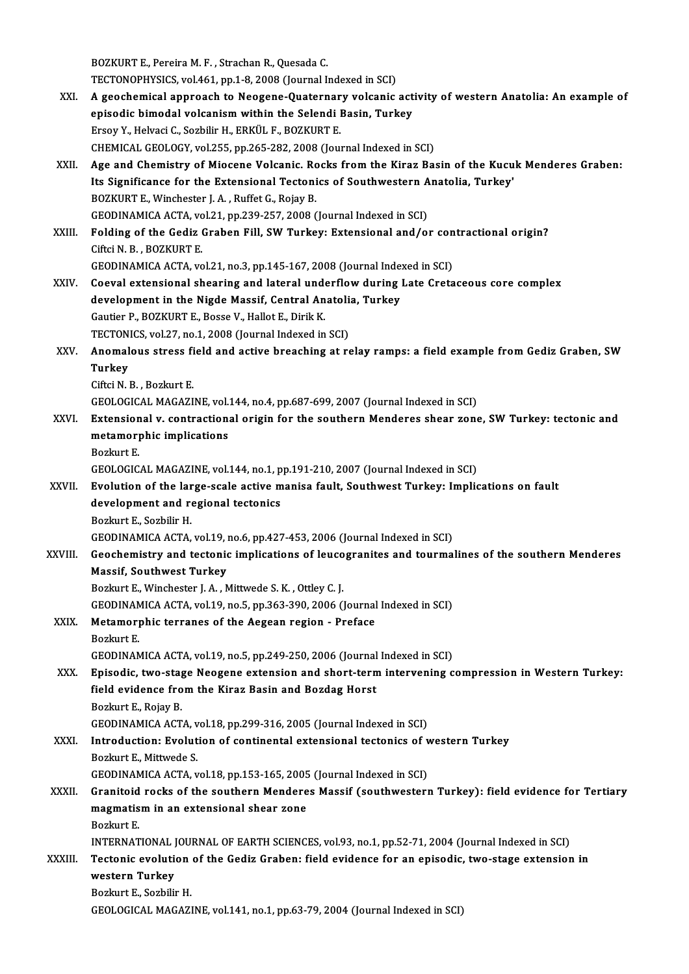BOZKURT E., Pereira M. F., Strachan R., Quesada C. TECTONOPHYSICS, vol.461, pp.1-8, 2008 (Journal Indexed in SCI)

XXI. A geochemical approach to Neogene-Quaternary volcanic activity of western Anatolia: An example of TECTONOPHYSICS, vol.461, pp.1-8, 2008 (Journal Indexed in SCI)<br>A geochemical approach to Neogene-Quaternary volcanic act<br>episodic bimodal volcanism within the Selendi Basin, Turkey<br>Freev Y, Helyasi C, Serbilin H, FRKÜLE, B A geochemical approach to Neogene-Quaternar<br>episodic bimodal volcanism within the Selendi l<br>Ersoy Y., Helvaci C., Sozbilir H., ERKÜL F., BOZKURT E.<br>CHEMICAL CEOLOCY vol.255, np.265, 292, 2009 (Jour Ersoy Y., Helvaci C., Sozbilir H., ERKÜL F., BOZKURT E.<br>CHEMICAL GEOLOGY, vol.255, pp.265-282, 2008 (Journal Indexed in SCI) Ersoy Y., Helvaci C., Sozbilir H., ERKÜL F., BOZKURT E.<br>CHEMICAL GEOLOGY, vol.255, pp.265-282, 2008 (Journal Indexed in SCI)<br>XXII. Age and Chemistry of Miocene Volcanic. Rocks from the Kiraz Basin of the Kucuk Menderes Gra CHEMICAL GEOLOGY, vol.255, pp.265-282, 2008 (Journal Indexed in SCI)<br>Age and Chemistry of Miocene Volcanic. Rocks from the Kiraz Basin of the Kucu<br>Its Significance for the Extensional Tectonics of Southwestern Anatolia, Tu Age and Chemistry of Miocene Volcanic. Ro<br>Its Significance for the Extensional Tectoni<br>BOZKURT E., Winchester J. A., Ruffet G., Rojay B.<br>CEODINAMICA ACTA vol 21 nn 229, 257, 2009 6 Its Significance for the Extensional Tectonics of Southwestern A<br>BOZKURT E., Winchester J. A. , Ruffet G., Rojay B.<br>GEODINAMICA ACTA, vol.21, pp.239-257, 2008 (Journal Indexed in SCI)<br>Folding of the Codig Crobon Eill, SW T BOZKURT E., Winchester J. A. , Ruffet G., Rojay B.<br>GEODINAMICA ACTA, vol.21, pp.239-257, 2008 (Journal Indexed in SCI)<br>XXIII. Folding of the Gediz Graben Fill, SW Turkey: Extensional and/or contractional origin?<br>Cifrei N. GEODINAMICA ACTA, vo<br>Folding of the Gediz (<br>Ciftci N. B. , BOZKURT E.<br>CEODINAMICA ACTA VO Folding of the Gediz Graben Fill, SW Turkey: Extensional and/or con<br>Ciftci N. B., BOZKURT E.<br>GEODINAMICA ACTA, vol.21, no.3, pp.145-167, 2008 (Journal Indexed in SCI)<br>Ceaual autonaional shearing and lateral underflow durin Ciftci N. B., BOZKURT E.<br>GEODINAMICA ACTA, vol.21, no.3, pp.145-167, 2008 (Journal Indexed in SCI)<br>XXIV. Coeval extensional shearing and lateral underflow during Late Cretaceous core complex<br>development in the Nigde Messif GEODINAMICA ACTA, vol.21, no.3, pp.145-167, 2008 (Journal Inde:<br>Coeval extensional shearing and lateral underflow during is<br>development in the Nigde Massif, Central Anatolia, Turkey<br>Coution B, POZKUPT E, Posse V, Hollet E, Coeval extensional shearing and lateral und<br>development in the Nigde Massif, Central An<br>Gautier P., BOZKURT E., Bosse V., Hallot E., Dirik K.<br>TECTONICS vol 27 no 1, 2009 (Journal Indoved in development in the Nigde Massif, Central Anatolia, Turkey Gautier P., BOZKURT E., Bosse V., Hallot E., Dirik K. Gautier P., BOZKURT E., Bosse V., Hallot E., Dirik K.<br>TECTONICS, vol.27, no.1, 2008 (Journal Indexed in SCI)<br>XXV. Anomalous stress field and active breaching at relay ramps: a field example from Gediz Graben, SW<br>Turkey TECTONICS, vol.27, no.1, 2008 (Journal Indexed in SCI)<br>Anomalous stress field and active breaching at r<br>Turkey<br>Ciftci N. B., Bozkurt E. Anomalous stress fi<br>Turkey<br>Ciftci N.B., Bozkurt E.<br>CEOLOCICAL MACAZI Turkey<br>Ciftci N. B. , Bozkurt E.<br>GEOLOGICAL MAGAZINE, vol.144, no.4, pp.687-699, 2007 (Journal Indexed in SCI)<br>Extensional v. sentrastional erisin for the seuthern Manderes shear gene Ciftci N. B. , Bozkurt E.<br>GEOLOGICAL MAGAZINE, vol.144, no.4, pp.687-699, 2007 (Journal Indexed in SCI)<br>XXVI. Extensional v. contractional origin for the southern Menderes shear zone, SW Turkey: tectonic and<br>matamernhis im GEOLOGICAL MAGAZINE, vol.<br>Extensional v. contractions<br>metamorphic implications<br>Pozlaut E Extension<br>metamory<br>Bozkurt E.<br>CEOLOCIC metamorphic implications<br>Bozkurt E.<br>GEOLOGICAL MAGAZINE, vol.144, no.1, pp.191-210, 2007 (Journal Indexed in SCI)<br>Evolution of the large scale active manics fault, Southwest Turkey, Implic Bozkurt E.<br>GEOLOGICAL MAGAZINE, vol.144, no.1, pp.191-210, 2007 (Journal Indexed in SCI)<br>XXVII. Evolution of the large-scale active manisa fault, Southwest Turkey: Implications on fault<br>development and regional tectories GEOLOGICAL MAGAZINE, vol.144, no.1, p<br>Evolution of the large-scale active m<br>development and regional tectonics<br>Porluut E. Sorbilin H Evolution of the lar<br>development and re<br>Bozkurt E., Sozbilir H.<br>CEODIMAMICA ACTA development and regional tectonics<br>Bozkurt E., Sozbilir H.<br>GEODINAMICA ACTA, vol.19, no.6, pp.427-453, 2006 (Journal Indexed in SCI)<br>Coochemistry and tectonis impliestions of loyoggrapites and teyrmal Bozkurt E., Sozbilir H.<br>GEODINAMICA ACTA, vol.19, no.6, pp.427-453, 2006 (Journal Indexed in SCI)<br>XXVIII. Geochemistry and tectonic implications of leucogranites and tourmalines of the southern Menderes<br>Massif, Southwest T GEODINAMICA ACTA, vol.19, i<br>Geochemistry and tectonic<br>Massif, Southwest Turkey<br>Borlaut E. Winchester L.A., A Bozkurt E., Winchester J.A., Mittwede S.K., Ottley C.J. Massif, Southwest Turkey<br>Bozkurt E., Winchester J. A. , Mittwede S. K. , Ottley C. J.<br>GEODINAMICA ACTA, vol.19, no.5, pp.363-390, 2006 (Journal Indexed in SCI)<br>Metamornhis terranes of the Aegean region - Brefase Bozkurt E., Winchester J. A. , Mittwede S. K. , Ottley C. J.<br>GEODINAMICA ACTA, vol.19, no.5, pp.363-390, 2006 (Journal<br>XXIX. Metamorphic terranes of the Aegean region - Preface<br>Borkurt E GEODINAN<br>Metamor<sub>l</sub><br>Bozkurt E.<br>GEODINAN Metamorphic terranes of the Aegean region - Preface<br>Bozkurt E.<br>GEODINAMICA ACTA, vol.19, no.5, pp.249-250, 2006 (Journal Indexed in SCI) XXX. Episodic, two-stage Neogene extension and short-termintervening compression inWestern Turkey: GEODINAMICA ACTA, vol.19, no.5, pp.249-250, 2006 (Journal<br>Episodic, two-stage Neogene extension and short-tern<br>field evidence from the Kiraz Basin and Bozdag Horst<br>Porluut E. Bojay B Episodic, two-stag<br>field evidence fro<br>Bozkurt E., Rojay B.<br>CEODIMAMICA ACT Bozkurt E., Rojay B.<br>GEODINAMICA ACTA, vol.18, pp.299-316, 2005 (Journal Indexed in SCI) Bozkurt E., Rojay B.<br>GEODINAMICA ACTA, vol.18, pp.299-316, 2005 (Journal Indexed in SCI)<br>XXXI. Introduction: Evolution of continental extensional tectonics of western Turkey<br>Boglaut E. Mittygde S. **GEODINAMICA ACTA, v<br>Introduction: Evolut<br>Bozkurt E., Mittwede S.<br>CEODINAMICA ACTA ...** Introduction: Evolution of continental extensional tectonics of v<br>Bozkurt E., Mittwede S.<br>GEODINAMICA ACTA, vol.18, pp.153-165, 2005 (Journal Indexed in SCI)<br>Crepiteid reeks of the southern Menderes Messif (southwester) Bozkurt E., Mittwede S.<br>GEODINAMICA ACTA, vol.18, pp.153-165, 2005 (Journal Indexed in SCI)<br>XXXII. Granitoid rocks of the southern Menderes Massif (southwestern Turkey): field evidence for Tertiary<br>megmetiam in an avto GEODINAMICA ACTA, vol.18, pp.153-165, 2005 (Journal Indexed in SCI)<br>Granitoid rocks of the southern Menderes Massif (southwester:<br>magmatism in an extensional shear zone<br>Bozkurt E. **Granitoid<br>magmatis<br>Bozkurt E.<br>INTEDNAT** magmatism in an extensional shear zone<br>Bozkurt E.<br>INTERNATIONAL JOURNAL OF EARTH SCIENCES, vol.93, no.1, pp.52-71, 2004 (Journal Indexed in SCI)<br>Testonis evolution of the Codis Crobon: field evidence for an enjacdia two st Bozkurt E.<br>INTERNATIONAL JOURNAL OF EARTH SCIENCES, vol.93, no.1, pp.52-71, 2004 (Journal Indexed in SCI)<br>XXXIII. Tectonic evolution of the Gediz Graben: field evidence for an episodic, two-stage extension in<br>vyestenn INTERNATIONAL J<br>Tectonic evolution<br>western Turkey<br>Beglnut E. Serbilio Tectonic evolution of the Gediz Graben: field evidence for an episodic, two-stage extension in western Turkey<br>Bozkurt E., Sozbilir H. GEOLOGICAL MAGAZINE, vol.141, no.1, pp.63-79, 2004 (Journal Indexed in SCI)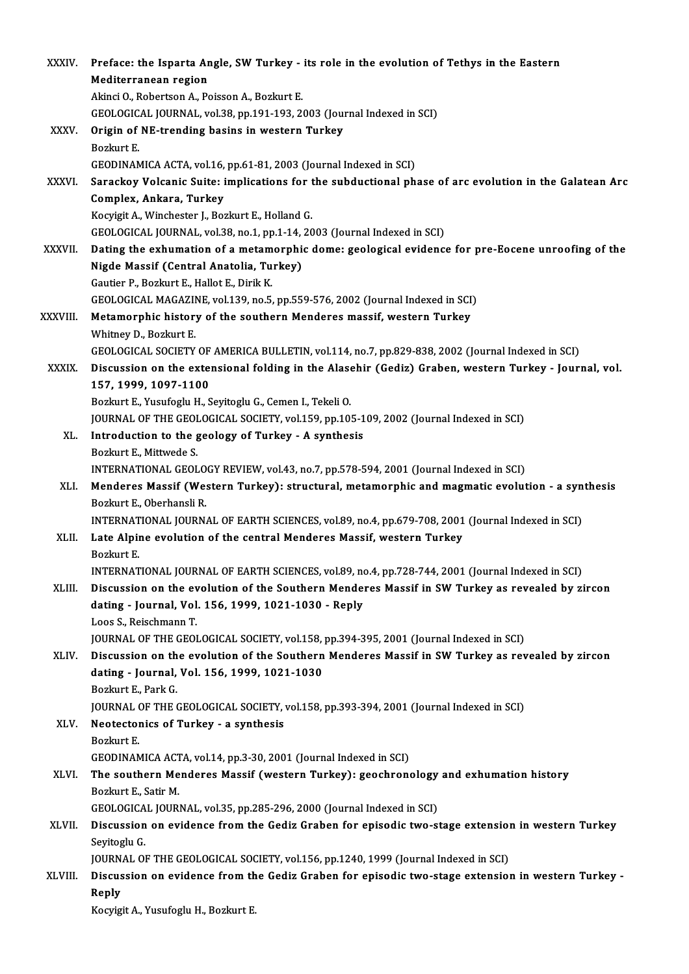| XXXIV.        | Preface: the Isparta Angle, SW Turkey - its role in the evolution of Tethys in the Eastern                                                                                                         |
|---------------|----------------------------------------------------------------------------------------------------------------------------------------------------------------------------------------------------|
|               | Mediterranean region                                                                                                                                                                               |
|               | Akinci O., Robertson A., Poisson A., Bozkurt E.                                                                                                                                                    |
|               | GEOLOGICAL JOURNAL, vol.38, pp.191-193, 2003 (Journal Indexed in SCI)                                                                                                                              |
| XXXV.         | Origin of NE-trending basins in western Turkey                                                                                                                                                     |
|               | Bozkurt E.                                                                                                                                                                                         |
|               | GEODINAMICA ACTA, vol.16, pp.61-81, 2003 (Journal Indexed in SCI)                                                                                                                                  |
| XXXVI.        | Sarackoy Volcanic Suite: implications for the subductional phase of arc evolution in the Galatean Arc                                                                                              |
|               | Complex, Ankara, Turkey                                                                                                                                                                            |
|               | Kocyigit A., Winchester J., Bozkurt E., Holland G.                                                                                                                                                 |
|               | GEOLOGICAL JOURNAL, vol.38, no.1, pp.1-14, 2003 (Journal Indexed in SCI)                                                                                                                           |
| <b>XXXVII</b> | Dating the exhumation of a metamorphic dome: geological evidence for pre-Eocene unroofing of the                                                                                                   |
|               | Nigde Massif (Central Anatolia, Turkey)                                                                                                                                                            |
|               | Gautier P., Bozkurt E., Hallot E., Dirik K.                                                                                                                                                        |
|               | GEOLOGICAL MAGAZINE, vol.139, no.5, pp.559-576, 2002 (Journal Indexed in SCI)                                                                                                                      |
| XXXVIII.      | Metamorphic history of the southern Menderes massif, western Turkey                                                                                                                                |
|               | Whitney D., Bozkurt E.<br>GEOLOGICAL SOCIETY OF AMERICA BULLETIN, vol.114, no.7, pp.829-838, 2002 (Journal Indexed in SCI)                                                                         |
| XXXIX.        | Discussion on the extensional folding in the Alasehir (Gediz) Graben, western Turkey - Journal, vol.                                                                                               |
|               | 157, 1999, 1097-1100                                                                                                                                                                               |
|               | Bozkurt E., Yusufoglu H., Seyitoglu G., Cemen I., Tekeli O.                                                                                                                                        |
|               | JOURNAL OF THE GEOLOGICAL SOCIETY, vol.159, pp.105-109, 2002 (Journal Indexed in SCI)                                                                                                              |
| XL.           | Introduction to the geology of Turkey - A synthesis                                                                                                                                                |
|               | Bozkurt E., Mittwede S.                                                                                                                                                                            |
|               | INTERNATIONAL GEOLOGY REVIEW, vol.43, no.7, pp.578-594, 2001 (Journal Indexed in SCI)                                                                                                              |
| XLI.          | Menderes Massif (Western Turkey): structural, metamorphic and magmatic evolution - a synthesis                                                                                                     |
|               | Bozkurt E., Oberhansli R.                                                                                                                                                                          |
|               | INTERNATIONAL JOURNAL OF EARTH SCIENCES, vol.89, no.4, pp.679-708, 2001 (Journal Indexed in SCI)                                                                                                   |
|               | XLII. Late Alpine evolution of the central Menderes Massif, western Turkey                                                                                                                         |
|               | Bozkurt E                                                                                                                                                                                          |
| XLIII.        | INTERNATIONAL JOURNAL OF EARTH SCIENCES, vol.89, no.4, pp.728-744, 2001 (Journal Indexed in SCI)<br>Discussion on the evolution of the Southern Menderes Massif in SW Turkey as revealed by zircon |
|               | dating - Journal, Vol. 156, 1999, 1021-1030 - Reply                                                                                                                                                |
|               | Loos S., Reischmann T.                                                                                                                                                                             |
|               | JOURNAL OF THE GEOLOGICAL SOCIETY, vol.158, pp.394-395, 2001 (Journal Indexed in SCI)                                                                                                              |
| XLIV.         | Discussion on the evolution of the Southern Menderes Massif in SW Turkey as revealed by zircon                                                                                                     |
|               | dating - Journal, Vol. 156, 1999, 1021-1030                                                                                                                                                        |
|               | Bozkurt E, Park G                                                                                                                                                                                  |
|               | JOURNAL OF THE GEOLOGICAL SOCIETY, vol.158, pp.393-394, 2001 (Journal Indexed in SCI)                                                                                                              |
| XLV.          | Neotectonics of Turkey - a synthesis                                                                                                                                                               |
|               | Bozkurt E.                                                                                                                                                                                         |
|               | GEODINAMICA ACTA, vol.14, pp.3-30, 2001 (Journal Indexed in SCI)                                                                                                                                   |
| XLVI.         | The southern Menderes Massif (western Turkey): geochronology and exhumation history                                                                                                                |
|               | Bozkurt E, Satir M.                                                                                                                                                                                |
|               | GEOLOGICAL JOURNAL, vol.35, pp.285-296, 2000 (Journal Indexed in SCI)                                                                                                                              |
| XLVII.        | Discussion on evidence from the Gediz Graben for episodic two-stage extension in western Turkey                                                                                                    |
|               | Seyitoglu G<br>JOURNAL OF THE GEOLOGICAL SOCIETY, vol.156, pp.1240, 1999 (Journal Indexed in SCI)                                                                                                  |
| XLVIII.       | Discussion on evidence from the Gediz Graben for episodic two-stage extension in western Turkey -                                                                                                  |
|               | Reply                                                                                                                                                                                              |
|               | Kocyigit A., Yusufoglu H., Bozkurt E.                                                                                                                                                              |
|               |                                                                                                                                                                                                    |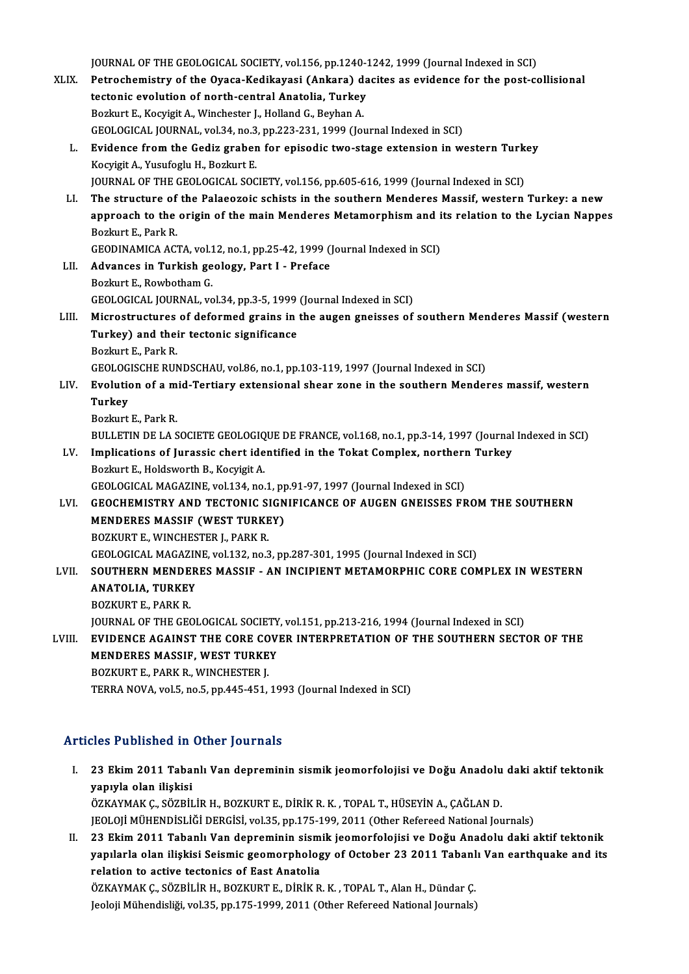JOURNAL OF THE GEOLOGICAL SOCIETY, vol.156, pp.1240-1242, 1999 (Journal Indexed in SCI)<br>Petrosbomistyy of the Quasa Kadikayasi (Ankaya) dasitas as avidense for the post as

XLIX. Petrochemistry of the Oyaca-Kedikayasi (Ankara) dacites as evidence for the post-collisional JOURNAL OF THE GEOLOGICAL SOCIETY, vol.156, pp.1240-1<br>Petrochemistry of the Oyaca-Kedikayasi (Ankara) da<br>tectonic evolution of north-central Anatolia, Turkey<br>Berluut E. Keguisit A. Winsbester L. Helland C. Berben A tectonic evolution of north-central Anatolia, Turkey<br>Bozkurt E., Kocyigit A., Winchester J., Holland G., Beyhan A. GEOLOGICAL JOURNAL, vol.34, no.3, pp.223-231, 1999 (Journal Indexed in SCI) Bozkurt E., Kocyigit A., Winchester J., Holland G., Beyhan A.<br>GEOLOGICAL JOURNAL, vol.34, no.3, pp.223-231, 1999 (Journal Indexed in SCI)<br>L. Evidence from the Gediz graben for episodic two-stage extension in western Turkey Kocyigit A., Yusufoglu H., Bozkurt E.<br>JOURNAL OF THE GEOLOGICAL SOCIETY, vol.156, pp.605-616, 1999 (Journal Indexed in SCI) Evidence from the Gediz graben for episodic two-stage extension in western Turk<br>Kocyigit A., Yusufoglu H., Bozkurt E.<br>JOURNAL OF THE GEOLOGICAL SOCIETY, vol.156, pp.605-616, 1999 (Journal Indexed in SCI)<br>The structure of t LI. The structure of the Palaeozoic schists in the southern Menderes Massif, western Turkey: a new JOURNAL OF THE GEOLOGICAL SOCIETY, vol.156, pp.605-616, 1999 (Journal Indexed in SCI)<br>The structure of the Palaeozoic schists in the southern Menderes Massif, western Turkey: a new<br>approach to the origin of the main Mender The structure of<br>approach to the<br>Bozkurt E., Park R.<br>CEODIMAMICA AC approach to the origin of the main Menderes Metamorphism and i<br>Bozkurt E., Park R.<br>GEODINAMICA ACTA, vol.12, no.1, pp.25-42, 1999 (Journal Indexed in SCI)<br>Advances in Turkish goology, Part L. Profess. Bozkurt E., Park R.<br>GEODINAMICA ACTA, vol.12, no.1, pp.25-42, 1999 ()<br>LII. Advances in Turkish geology, Part I - Preface GEODINAMICA ACTA, vol.1<br>Advances in Turkish ge<br>Bozkurt E., Rowbotham G.<br>CEOLOCICAL JOURNAL .yo Bozkurt E., Rowbotham G.<br>GEOLOGICAL JOURNAL, vol.34, pp.3-5, 1999 (Journal Indexed in SCI) LIII. Microstructures of deformed grains in the augen gneisses of southern Menderes Massif (western GEOLOGICAL JOURNAL, vol.34, pp.3-5, 1999<br>Microstructures of deformed grains in<br>Turkey) and their tectonic significance<br>Borlaut E. Bork B. Microstructures<br>Turkey) and thei<br>Bozkurt E., Park R.<br>CEOLOCISCHE BUN Bozkurt E., Park R.<br>GEOLOGISCHE RUNDSCHAU, vol.86, no.1, pp.103-119, 1997 (Journal Indexed in SCI) Bozkurt E., Park R.<br>GEOLOGISCHE RUNDSCHAU, vol.86, no.1, pp.103-119, 1997 (Journal Indexed in SCI)<br>LIV. Evolution of a mid-Tertiary extensional shear zone in the southern Menderes massif, western<br>Turkey GEOLOG<br><mark>Evolutic</mark><br>Turkey **Evolution of a m<br>Turkey<br>Bozkurt E., Park R.<br>PLU LETIN DE LA S** Turkey<br>Bozkurt E., Park R.<br>BULLETIN DE LA SOCIETE GEOLOGIQUE DE FRANCE, vol.168, no.1, pp.3-14, 1997 (Journal Indexed in SCI)<br>Implications of Jurassis short identified in the Tekat Complex, northern Turkey. Bozkurt E., Park R.<br>BULLETIN DE LA SOCIETE GEOLOGIQUE DE FRANCE, vol.168, no.1, pp.3-14, 1997 (Journal<br>LV. Implications of Jurassic chert identified in the Tokat Complex, northern Turkey<br>Boglaut F. Holdsworth B. Kogusit A. BULLETIN DE LA SOCIETE GEOLOGIQ<br>Implications of Jurassic chert ide<br>Bozkurt E., Holdsworth B., Kocyigit A. Implications of Jurassic chert identified in the Tokat Complex, northern<br>Bozkurt E., Holdsworth B., Kocyigit A.<br>GEOLOGICAL MAGAZINE, vol.134, no.1, pp.91-97, 1997 (Journal Indexed in SCI)<br>CEOCHEMISTRY AND TECTONIC SICNIFIC Bozkurt E., Holdsworth B., Kocyigit A.<br>GEOLOGICAL MAGAZINE, vol.134, no.1, pp.91-97, 1997 (Journal Indexed in SCI)<br>LVI. GEOCHEMISTRY AND TECTONIC SIGNIFICANCE OF AUGEN GNEISSES FROM THE SOUTHERN<br>MENDERES MASSIF (WEST TURKE GEOLOGICAL MAGAZINE, vol.134, no.1, pp.91-97, 1997 (Journal Indexed in SCI) BOZKURT E., WINCHESTER J., PARK R. GEOLOGICAL MAGAZINE, vol.132, no.3, pp.287-301, 1995 (Journal Indexed in SCI) BOZKURT E., WINCHESTER J., PARK R.<br>GEOLOGICAL MAGAZINE, vol.132, no.3, pp.287-301, 1995 (Journal Indexed in SCI)<br>LVII. SOUTHERN MENDERES MASSIF - AN INCIPIENT METAMORPHIC CORE COMPLEX IN WESTERN<br>ANATOLIA, TURKEY GEOLOGICAL MAGAZIN<br>SOUTHERN MENDER<br>ANATOLIA, TURKEY<br>POZKUPT E. PAPK P SOUTHERN MENDE<br>ANATOLIA, TURKEY<br>BOZKURT E., PARK R.<br>JOUPNAL OF THE CEC ANATOLIA, TURKEY<br>BOZKURT E., PARK R.<br>JOURNAL OF THE GEOLOGICAL SOCIETY, vol.151, pp.213-216, 1994 (Journal Indexed in SCI)<br>EVIDENCE ACAINST THE CORE COVER INTERRRETATION OF THE SOUTHERN SECT: BOZKURT E., PARK R.<br>JOURNAL OF THE GEOLOGICAL SOCIETY, vol.151, pp.213-216, 1994 (Journal Indexed in SCI)<br>LVIII. EVIDENCE AGAINST THE CORE COVER INTERPRETATION OF THE SOUTHERN SECTOR OF THE<br>MENDERES MASSIE WEST TURKEY JOURNAL OF THE GEOLOGICAL SOCIETY<br>EVIDENCE AGAINST THE CORE COV<br>MENDERES MASSIF, WEST TURKEY<br>POZYUPT E, BARK B, WINCHESTER L LVIII. EVIDENCE AGAINST THE CORE COVER INTERPRETATION OF THE SOUTHERN SECTOR OF THE MENDERES MASSIF, WEST TURKEY<br>BOZKURT E., PARK R., WINCHESTER J. TERRA NOVA, vol.5, no.5, pp.445-451, 1993 (Journal Indexed in SCI)

#### Articles Published in Other Journals

- I. 23 Ekim2011 Tabanlı Van depreminin sismik jeomorfolojisi ve Doğu Anadolu daki aktif tektonik yapıyla olan ilişkisi<br>23 Ekim 2011 Taba<br>yapıyla olan ilişkisi<br>özkaymak c. sözpir 23 Ekim 2011 Tabanlı Van depreminin sismik jeomorfolojisi ve Doğu Anadolu<br>yapıyla olan ilişkisi<br>ÖZKAYMAK Ç., SÖZBİLİR H., BOZKURT E., DİRİK R. K. , TOPAL T., HÜSEYİN A., ÇAĞLAN D.<br>IEOLOU MÜHENDİSI İĞİ DEPÇİSİ vel 25. pp.17 yapıyla olan ilişkisi<br>ÖZKAYMAK Ç., SÖZBİLİR H., BOZKURT E., DİRİK R. K. , TOPAL T., HÜSEYİN A., ÇAĞLAN D.<br>JEOLOJİ MÜHENDİSLİĞİ DERGİSİ, vol.35, pp.175-199, 2011 (Other Refereed National Journals)
- II. 23 Ekim 2011 Tabanlı Van depreminin sismik jeomorfolojisi ve Doğu Anadolu daki aktif tektonik JEOLOJİ MÜHENDİSLİĞİ DERGİSİ, vol.35, pp.175-199, 2011 (Other Refereed National Journals)<br>23 Ekim 2011 Tabanlı Van depreminin sismik jeomorfolojisi ve Doğu Anadolu daki aktif tektonik<br>yapılarla olan ilişkisi Seismic geomor relation to active tectonics of East Anatolia yapılarla olan ilişkisi Seismic geomorphology of October 23 2011 Tabanl<br>relation to active tectonics of East Anatolia<br>ÖZKAYMAK Ç., SÖZBİLİR H., BOZKURT E., DİRİK R. K. , TOPAL T., Alan H., Dündar Ç.<br>Joalaji Mühandialiği ve ÖZKAYMAK Ç., SÖZBİLİR H., BOZKURT E., DİRİK R. K. , TOPAL T., Alan H., Dündar Ç.<br>Jeoloji Mühendisliği, vol.35, pp.175-1999, 2011 (Other Refereed National Journals)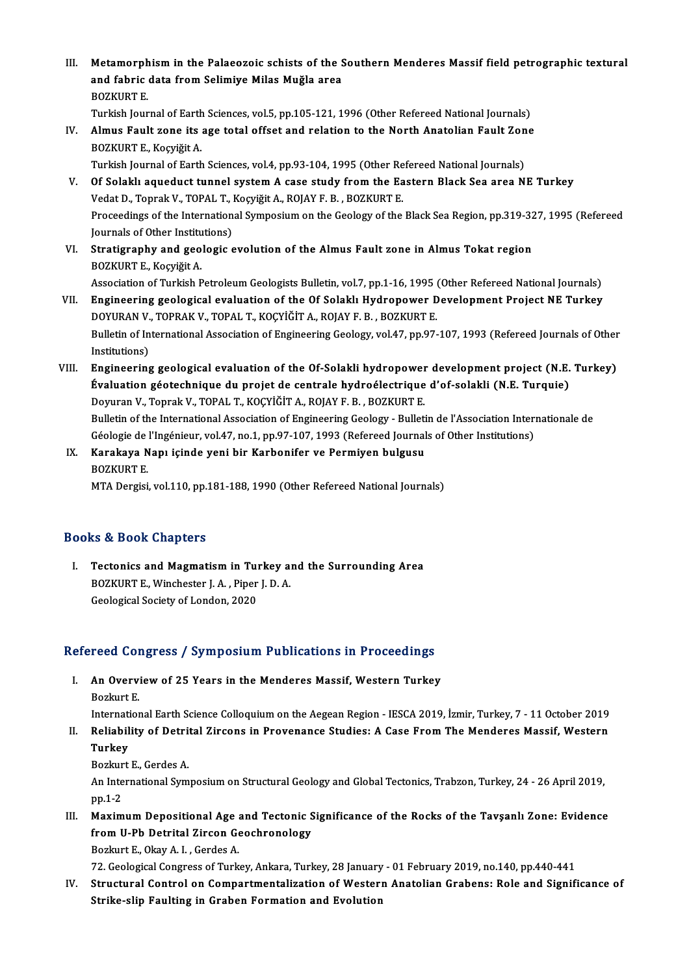III. Metamorphism in the Palaeozoic schists of the Southern Menderes Massif field petrographic textural<br>And fabric data from Solimive Miles Mužle anes Metamorphism in the Palaeozoic schists of the S<br>and fabric data from Selimiye Milas Muğla area<br>ROZKURT E Metamorph<br>and fabric<br>BOZKURT E.<br>Turkish Jour and fabric data from Selimiye Milas Muğla area<br>BOZKURT E.<br>Turkish Journal of Earth Sciences, vol.5, pp.105-121, 1996 (Other Refereed National Journals)<br>Almue Foult vone its age total offect and polation to the North Anatol

BOZKURT E.<br>Turkish Journal of Earth Sciences, vol.5, pp.105-121, 1996 (Other Refereed National Journals)<br>IV. Almus Fault zone its age total offset and relation to the North Anatolian Fault Zone<br>POZKUPT E. KOSUŘÍT A Turkish Journal of Earth<br><mark>Almus Fault zone its</mark><br>BOZKURT E., Koçyiğit A.<br>Turkish Journal of Farth Almus Fault zone its age total offset and relation to the North Anatolian Fault Zon<br>BOZKURT E., Koçyiğit A.<br>Turkish Journal of Earth Sciences, vol.4, pp.93-104, 1995 (Other Refereed National Journals)<br>Of Solakly aguedust t

Turkish Journal of Earth Sciences, vol.4, pp.93-104, 1995 (Other Refereed National Journals)

- BOZKURT E., Koçyiğit A.<br>Turkish Journal of Earth Sciences, vol.4, pp.93-104, 1995 (Other Refereed National Journals)<br>V. Of Solaklı aqueduct tunnel system A case study from the Eastern Black Sea area NE Turkey<br>Vedat D., Of Solaklı aqueduct tunnel system A case study from the Eastern Black Sea area NE Turkey<br>Vedat D., Toprak V., TOPAL T., Koçyiğit A., ROJAY F. B. , BOZKURT E.<br>Proceedings of the International Symposium on the Geology of the Vedat D., Toprak V., TOPAL T., I<br>Proceedings of the Internation<br>Journals of Other Institutions)<br>Stratisranhy and scalagies Proceedings of the International Symposium on the Geology of the Black Sea Region, pp.319-32<br>Journals of Other Institutions)<br>VI. Stratigraphy and geologic evolution of the Almus Fault zone in Almus Tokat region<br>POZKUPT E K
- Journals of Other Institutions)<br>VI. Stratigraphy and geologic evolution of the Almus Fault zone in Almus Tokat region<br>BOZKURT E., Koçyiğit A. Stratigraphy and geologic evolution of the Almus Fault zone in Almus Tokat region<br>BOZKURT E., Koçyiğit A.<br>Association of Turkish Petroleum Geologists Bulletin, vol.7, pp.1-16, 1995 (Other Refereed National Journals)<br>Engine

BOZKURT E., Koçyiğit A.<br>Association of Turkish Petroleum Geologists Bulletin, vol.7, pp.1-16, 1995 (Other Refereed National Journals)<br>VII. Engineering geological evaluation of the Of Solaklı Hydropower Development Project Association of Turkish Petroleum Geologists Bulletin, vol.7, pp.1-16, 1995 (<br>Engineering geological evaluation of the Of Solaklı Hydropower D<br>DOYURAN V., TOPRAK V., TOPAL T., KOÇYİĞİT A., ROJAY F. B. , BOZKURT E.<br>Bulletin Engineering geological evaluation of the Of Solaklı Hydropower Development Project NE Turkey<br>DOYURAN V., TOPRAK V., TOPAL T., KOÇYİĞİT A., ROJAY F. B. , BOZKURT E.<br>Bulletin of International Association of Engineering Geolo DOYURAN V<br>Bulletin of In<br>Institutions)<br>Engineering

- Bulletin of International Association of Engineering Geology, vol.47, pp.97-107, 1993 (Refereed Journals of Other<br>Institutions)<br>VIII. Engineering geological evaluation of the Of-Solakli hydropower development project (N.E. Institutions)<br>Engineering geological evaluation of the Of-Solakli hydropower development project (N.E.<br>Évaluation géotechnique du projet de centrale hydroélectrique d'of-solakli (N.E. Turquie)<br>Peruran V. Toprek V. TOPAL T. Engineering geological evaluation of the Of-Solakli hydropower<br>Évaluation géotechnique du projet de centrale hydroélectrique<br>Doyuran V., Toprak V., TOPAL T., KOÇYİĞİT A., ROJAY F. B. , BOZKURT E.<br>Pulletin of the Internatio Évaluation géotechnique du projet de centrale hydroélectrique d'of-solakli (N.E. Turquie)<br>Doyuran V., Toprak V., TOPAL T., KOÇYİĞİT A., ROJAY F. B. , BOZKURT E.<br>Bulletin of the International Association of Engineering Geol Doyuran V., Toprak V., TOPAL T., KOÇYİĞİT A., ROJAY F. B. , BOZKURT E.<br>Bulletin of the International Association of Engineering Geology - Bulletin de l'Association Inter:<br>Géologie de l'Ingénieur, vol.47, no.1, pp.97-107, 1 Bulletin of the International Association of Engineering Geology - Bulleti<br>Géologie de l'Ingénieur, vol.47, no.1, pp.97-107, 1993 (Refereed Journal<br>IX. Karakaya Napı içinde yeni bir Karbonifer ve Permiyen bulgusu<br>POZKUPT E
- Géologie de <mark>:</mark><br>Karakaya N<br>BOZKURT E.<br>MTA Dergiei IX. Karakaya Napı içinde yeni bir Karbonifer ve Permiyen bulgusu<br>BOZKURT E.<br>MTA Dergisi, vol.110, pp.181-188, 1990 (Other Refereed National Journals)

#### Books&Book Chapters

ooks & Book Chapters<br>I. Tectonics and Magmatism in Turkey and the Surrounding Area BOZKURT SHAPCIS<br>Tectonics and Magmatism in Turkey as<br>BOZKURT E., Winchester J.A., Piper J.D.A. Tectonics and Magmatism in Tui<br>BOZKURT E., Winchester J. A. , Piper<br>Geological Society of London, 2020

# Geological Society of London, 2020<br>Refereed Congress / Symposium Publications in Proceedings

efereed Congress / Symposium Publications in Proceedings<br>I. An Overview of 25 Years in the Menderes Massif, Western Turkey I. An Overview of 25 Years in the Menderes Massif, Western Turkey<br>Bozkurt E. An Overview of 25 Years in the Menderes Massif, Western Turkey<br>Bozkurt E.<br>International Earth Science Colloquium on the Aegean Region - IESCA 2019, İzmir, Turkey, 7 - 11 October 2019<br>Boliability of Detrital Zircons in Prov

Bozkurt E.<br>International Earth Science Colloquium on the Aegean Region - IESCA 2019, İzmir, Turkey, 7 - 11 October 2019<br>II. Reliability of Detrital Zircons in Provenance Studies: A Case From The Menderes Massif, Wester Internati<br><mark>Reliabil</mark><br>Turkey II. Reliability of Detrital Zircons in Provenance Studies: A Case From The Menderes Massif, Western<br>Turkey

Bozkurt E., Gerdes A.

An International Symposium on Structural Geology and Global Tectonics, Trabzon, Turkey, 24 - 26 April 2019, pp.1-2 I. An International Symposium on Structural Geology and Global Tectonics, Trabzon, Turkey, 24 - 26 April 2019,<br>III. Maximum Depositional Age and Tectonic Significance of the Rocks of the Tavşanlı Zone: Evidence<br>from U.Ph D

pp.1-2<br>Maximum Depositional Age and Tectonic S<br>from U-Pb Detrital Zircon Geochronology<br>Berluut E. Okay A. L. Gerdes A Maximum Depositional Age<br>from U-Pb Detrital Zircon Ge<br>Bozkurt E., Okay A. I. , Gerdes A.<br>72. Ceological Congress of Turk from U-Pb Detrital Zircon Geochronology<br>Bozkurt E., Okay A. I. , Gerdes A.<br>72. Geological Congress of Turkey, Ankara, Turkey, 28 January - 01 February 2019, no.140, pp.440-441<br>Structurel Control on Comportmentalization of

Bozkurt E., Okay A. I. , Gerdes A.<br>72. Geological Congress of Turkey, Ankara, Turkey, 28 January - 01 February 2019, no.140, pp.440-441<br>IV. Structural Control on Compartmentalization of Western Anatolian Grabens: Role and 72. Geological Congress of Turkey, Ankara, Turkey, 28 January<br>Structural Control on Compartmentalization of Wester:<br>Strike-slip Faulting in Graben Formation and Evolution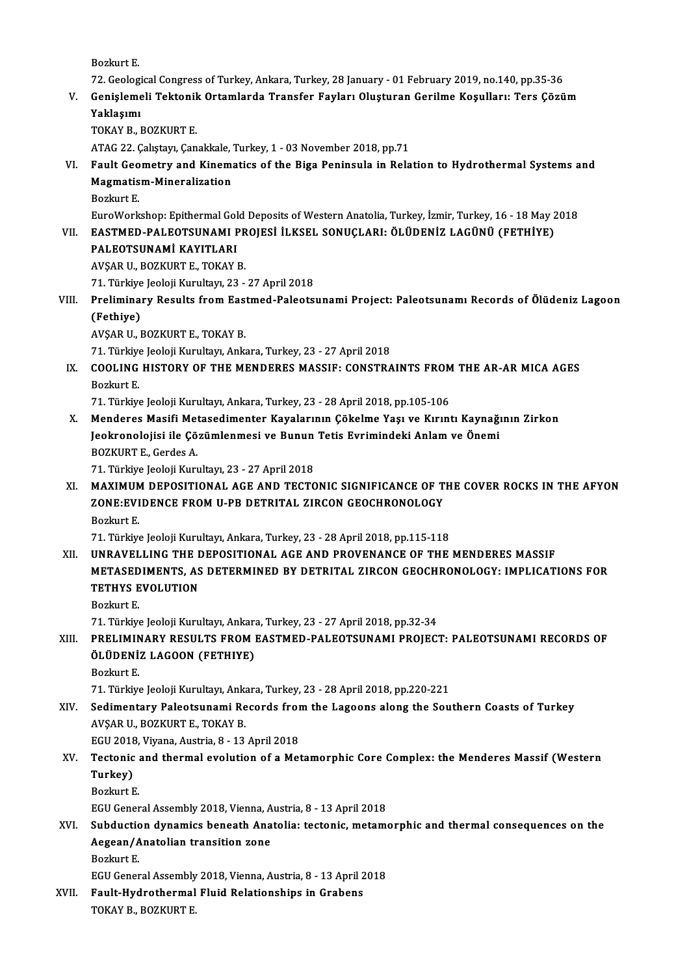BozkurtE.

72. Geological Congress of Turkey, Ankara, Turkey, 28 January - 01 February 2019, no.140, pp.35-36

Bozkurt E.<br>72. Geological Congress of Turkey, Ankara, Turkey, 28 January - 01 February 2019, no.140, pp.35-36<br>7. Genişlemeli Tektonik Ortamlarda Transfer Fayları Oluşturan Gerilme Koşulları: Ters Çözüm<br>Yaklasımı 72. Geologi<br>Genişleme<br>Yaklaşımı<br>TOKAV B Genişlemeli Tektoni<mark>l</mark><br>Yaklaşımı<br>TOKAY B., BOZKURT E.<br>ATAC 22. Calıstayı Can

Yaklaşımı<br>TOKAY B., BOZKURT E.<br>ATAG 22. Çalıştayı, Çanakkale, Turkey, 1 - 03 November 2018, pp.71

# TOKAY B., BOZKURT E.<br>ATAG 22. Çalıştayı, Çanakkale, Turkey, 1 - 03 November 2018, pp.71<br>VI. Fault Geometry and Kinematics of the Biga Peninsula in Relation to Hydrothermal Systems and<br>Magmatism Mineralization ATAG 22. Çalıştayı, Çanakkale, '<br>Fault Geometry and Kinem:<br>Magmatism-Mineralization<br>Perluut F Fault Geo<br>Magmatis<br>Bozkurt E.<br>EuroMork Magmatism-Mineralization<br>Bozkurt E.<br>EuroWorkshop: Epithermal Gold Deposits of Western Anatolia, Turkey, İzmir, Turkey, 16 - 18 May 2018<br>EASTMED BALEOTSUNAMI PROJESİ İLKSEL SONUCLARL, ÖLÜDENİZ LACÜNÜ (EFTHİVE)

# Bozkurt E.<br>EuroWorkshop: Epithermal Gold Deposits of Western Anatolia, Turkey, İzmir, Turkey, 16 - 18 May 2<br>VII. EASTMED-PALEOTSUNAMI PROJESİ İLKSEL SONUÇLARI: ÖLÜDENİZ LAGÜNÜ (FETHİYE)<br>PALEOTSUNAMİ KAVITI APL EASTMED-PALEOTSUNAMI PR<br>PALEOTSUNAMI KAYITLARI<br>AVŞAR U., BOZKURT E., TOKAY B.<br>71. Türkiye leeleji Kurultarı 22

EuroWorkshop: Epithermal Gol<br>EASTMED-PALEOTSUNAMI F<br>PALEOTSUNAMİ KAYITLARI<br>AVSAR IL POZKURT E. TOKAY I

PALEOTSUNAMİ KAYITLARI<br>AVŞAR U., BOZKURT E., TOKAY B.<br>71. Türkiye Jeoloji Kurultayı, 23 - 27 April 2018<br>Preliminary Besults from Festmed Belects

# AVŞAR U., BOZKURT E., TOKAY B.<br>71. Türkiye Jeoloji Kurultayı, 23 - 27 April 2018<br>VIII. Preliminary Results from Eastmed-Paleotsunami Project: Paleotsunamı Records of Ölüdeniz Lagoon<br>(Fathive) 71. Türkiye<br>Prelimina<br>(Fethiye)<br>AVSAR H Preliminary Results from Eas<br>(Fethiye)<br>AVŞAR U., BOZKURT E., TOKAY B.<br>71. Türkiye leeleji Kurultan, Ank (Fethiye)<br>AVŞAR U., BOZKURT E., TOKAY B.<br>71. Türkiye Jeoloji Kurultayı, Ankara, Turkey, 23 - 27 April 2018<br>COOLING HISTORY OF THE MENDERES MASSIE: CONSTRA

AVŞAR U., BOZKURT E., TOKAY B.<br>71. Türkiye Jeoloji Kurultayı, Ankara, Turkey, 23 - 27 April 2018<br>IX. COOLING HISTORY OF THE MENDERES MASSIF: CONSTRAINTS FROM THE AR-AR MICA AGES<br>Borlaut F 71. Türkiye<br>COOLING<br>Bozkurt E.<br>71. Türkiye COOLING HISTORY OF THE MENDERES MASSIF: CONSTRAINTS FROM<br>Bozkurt E.<br>71. Türkiye Jeoloji Kurultayı, Ankara, Turkey, 23 - 28 April 2018, pp.105-106<br>Mandaras Masifi Matasadimantar Kayalarının Gökalma Yası ve Kırınt

Bozkurt E.<br>71. Türkiye Jeoloji Kurultayı, Ankara, Turkey, 23 - 28 April 2018, pp.105-106<br>X. Menderes Masifi Metasedimenter Kayalarının Çökelme Yaşı ve Kırıntı Kaynağının Zirkon 71. Türkiye Jeoloji Kurultayı, Ankara, Turkey, 23 - 28 April 2018, pp.105-106<br>Menderes Masifi Metasedimenter Kayalarının Çökelme Yaşı ve Kırıntı Kaynağı<br>Jeokronolojisi ile Çözümlenmesi ve Bunun Tetis Evrimindeki Anlam ve Ö Menderes Masifi Met<br>Jeokronolojisi ile Çö<br>BOZKURT E., Gerdes A.<br>71. Türkive Jeoloji Kuri Jeokronolojisi ile Çözümlenmesi ve Bunun<br>BOZKURT E., Gerdes A.<br>71. Türkiye Jeoloji Kurultayı, 23 - 27 April 2018<br>MAXIMUM DEBOSITIONAL ACE AND TECTC

### BOZKURT E., Gerdes A.<br>71. Türkiye Jeoloji Kurultayı, 23 - 27 April 2018<br>XI. MAXIMUM DEPOSITIONAL AGE AND TECTONIC SIGNIFICANCE OF THE COVER ROCKS IN THE AFYON<br>ZONE-EVIDENCE EROM IL BR DETRITAL ZIRCON CEOCHRONOLOCY 71. Türkiye Jeoloji Kurultayı, 23 - 27 April 2018<br>MAXIMUM DEPOSITIONAL AGE AND TECTONIC SIGNIFICANCE OF T<br>ZONE:EVIDENCE FROM U-PB DETRITAL ZIRCON GEOCHRONOLOGY<br>Borluut E MAXIMUN<br>ZONE:EVI<br>Bozkurt E.<br>71. Türkur 70NE: EVIDENCE FROM U-PB DETRITAL ZIRCON GEOCHRONOLOGY<br>Bozkurt E.<br>71. Türkiye Jeoloji Kurultayı, Ankara, Turkey, 23 - 28 April 2018, pp.115-118

#### Bozkurt E.<br>71. Türkiye Jeoloji Kurultayı, Ankara, Turkey, 23 - 28 April 2018, pp.115-118<br>XII. UNRAVELLING THE DEPOSITIONAL AGE AND PROVENANCE OF THE MENDERES MASSIF<br>METASEDIMENTS, AS DETERMINED BY DETRITAL ZIRCON CEOCU 71. Türkiye Jeoloji Kurultayı, Ankara, Turkey, 23 - 28 April 2018, pp.115-118<br>UNRAVELLING THE DEPOSITIONAL AGE AND PROVENANCE OF THE MENDERES MASSIF<br>METASEDIMENTS, AS DETERMINED BY DETRITAL ZIRCON GEOCHRONOLOGY: IMPLICATIO UNRAVELLING THE I<br>METASEDIMENTS, AS<br>TETHYS EVOLUTION<br>Borlaut E METASED<br>TETHYS E<br>Bozkurt E.<br>71. Tärkiv **TETHYS EVOLUTION<br>Bozkurt E.<br>71. Türkiye Jeoloji Kurultayı, Ankara, Turkey, 23 - 27 April 2018, pp.32-34**

# Bozkurt E.<br>71. Türkiye Jeoloji Kurultayı, Ankara, Turkey, 23 - 27 April 2018, pp.32-34<br>XIII. PRELIMINARY RESULTS FROM EASTMED-PALEOTSUNAMI PROJECT: PALEOTSUNAMI RECORDS OF<br>ÖLÜDENİZ LAGOON (EETHIVE) 71. Türkiye Jeoloji Kurultayı, Ankara<br>PRELIMINARY RESULTS FROM 1<br>ÖLÜDENİZ LAGOON (FETHIYE)<br>Berluut E PRELIMIN<br>ÖLÜDENİ!<br>Bozkurt E.<br>71. Türkiy ÖLÜDENİZ LAGOON (FETHIYE)<br>Bozkurt E.<br>71. Türkiye Jeoloji Kurultayı, Ankara, Turkey, 23 - 28 April 2018, pp.220-221<br>Sedimentary Balagtsunami Beserds from the Lageans alang the Seu

Bozkurt E.<br>71. Türkiye Jeoloji Kurultayı, Ankara, Turkey, 23 - 28 April 2018, pp.220-221<br>XIV. Sedimentary Paleotsunami Records from the Lagoons along the Southern Coasts of Turkey<br>AVSAR U., BOZKURT E., TOKAY B. 71. Türkiye Jeoloji Kurultayı, Anka<br>Sedimentary Paleotsunami Re<br>AVŞAR U., BOZKURT E., TOKAY B.<br>ECU 2019. Viyana, Austria, 8, 12. Sedimentary Paleotsunami Records from<br>AVŞAR U., BOZKURT E., TOKAY B.<br>EGU 2018, Viyana, Austria, 8 - 13 April 2018<br>Testanis and thermal evolution of a Met

# AVŞAR U., BOZKURT E., TOKAY B.<br>EGU 2018, Viyana, Austria, 8 - 13 April 2018<br>XV. Tectonic and thermal evolution of a Metamorphic Core Complex: the Menderes Massif (Western<br>Turkey) EGU 2018<br>Tectonic<br>Turkey)<br><sup>Porlaut E</sup> Tectonic<br>Turkey)<br>Bozkurt E.<br>ECU Cener Turkey)<br>Bozkurt E.<br>EGU General Assembly 2018, Vienna, Austria, 8 - 13 April 2018<br>Subduction dunamics beneath Anstelie: tectonis, metem:

### Bozkurt E.<br>EGU General Assembly 2018, Vienna, Austria, 8 - 13 April 2018<br>XVI. Subduction dynamics beneath Anatolia: tectonic, metamorphic and thermal consequences on the<br>Assess (Anatolian transition gane EGU General Assembly 2018, Vienna, A<br>Subduction dynamics beneath Ana<br>Aegean/Anatolian transition zone<br>Berluut E Subductic<br>Aegean/A<br>Bozkurt E.<br>ECU Cener Aegean/Anatolian transition zone<br>Bozkurt E.<br>EGU General Assembly 2018, Vienna, Austria, 8 - 13 April 2018

Bozkurt E.<br>EGU General Assembly 2018, Vienna, Austria, 8 - 13 April 2<br>XVII. Fault-Hydrothermal Fluid Relationships in Grabens<br>TOKAV B. BOZKUPT E. EGU General Assembly<br><mark>Fault-Hydrothermal</mark><br>TOKAY B., BOZKURT E.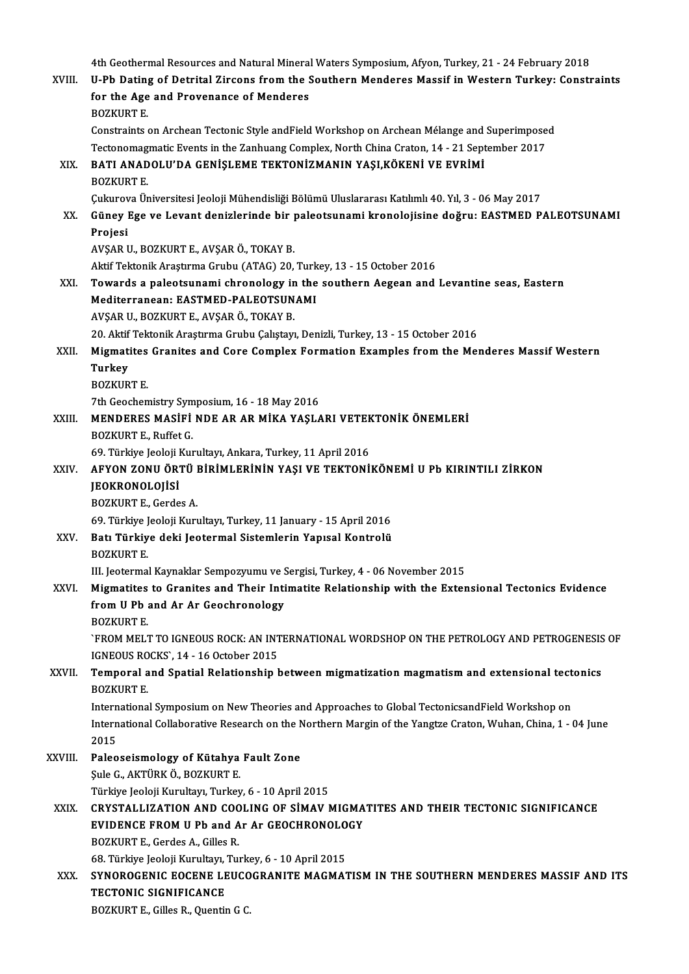4th Geothermal Resources and Natural Mineral Waters Symposium, Afyon, Turkey, 21 - 24 February 2018<br>ILBh Deting of Detritel Zincons from the Southern Monderes Messif in Western Turkey, Constr

|         | 4th Geothermal Resources and Natural Mineral Waters Symposium, Afyon, Turkey, 21 - 24 February 2018                                |
|---------|------------------------------------------------------------------------------------------------------------------------------------|
| XVIII.  | U-Pb Dating of Detrital Zircons from the Southern Menderes Massif in Western Turkey: Constraints                                   |
|         | for the Age and Provenance of Menderes<br><b>BOZKURT E.</b>                                                                        |
|         | Constraints on Archean Tectonic Style andField Workshop on Archean Mélange and Superimposed                                        |
|         | Tectonomagmatic Events in the Zanhuang Complex, North China Craton, 14 - 21 September 2017                                         |
| XIX.    | BATI ANADOLU'DA GENIŞLEME TEKTONİZMANIN YAŞI, KÖKENİ VE EVRİMİ                                                                     |
|         | <b>BOZKURT E.</b>                                                                                                                  |
|         | Çukurova Üniversitesi Jeoloji Mühendisliği Bölümü Uluslararası Katılımlı 40. Yıl, 3 - 06 May 2017                                  |
| XX.     | Güney Ege ve Levant denizlerinde bir paleotsunami kronolojisine doğru: EASTMED PALEOTSUNAMI                                        |
|         | Projesi                                                                                                                            |
|         | AVŞAR U., BOZKURT E., AVŞAR Ö., TOKAY B.                                                                                           |
|         | Aktif Tektonik Araştırma Grubu (ATAG) 20, Turkey, 13 - 15 October 2016                                                             |
| XXI.    | Towards a paleotsunami chronology in the southern Aegean and Levantine seas, Eastern<br>Mediterranean: EASTMED-PALEOTSUNAMI        |
|         | AVŞAR U., BOZKURT E., AVŞAR Ö., TOKAY B.                                                                                           |
|         | 20. Aktif Tektonik Araştırma Grubu Çalıştayı, Denizli, Turkey, 13 - 15 October 2016                                                |
| XXII.   | Migmatites Granites and Core Complex Formation Examples from the Menderes Massif Western                                           |
|         | <b>Turkey</b>                                                                                                                      |
|         | <b>BOZKURT E.</b>                                                                                                                  |
|         | 7th Geochemistry Symposium, 16 - 18 May 2016                                                                                       |
| XXIII.  | MENDERES MASIFI NDE AR AR MIKA YAŞLARI VETEKTONIK ÖNEMLERI                                                                         |
|         | BOZKURT E., Ruffet G.                                                                                                              |
|         | 69. Türkiye Jeoloji Kurultayı, Ankara, Turkey, 11 April 2016                                                                       |
| XXIV.   | AFYON ZONU ÖRTÜ BİRİMLERİNİN YAŞI VE TEKTONİKÖNEMİ U Pb KIRINTILI ZİRKON                                                           |
|         | <b>JEOKRONOLOJİSİ</b>                                                                                                              |
|         | <b>BOZKURT E, Gerdes A</b><br>69. Türkiye Jeoloji Kurultayı, Turkey, 11 January - 15 April 2016                                    |
| XXV.    | Batı Türkiye deki Jeotermal Sistemlerin Yapısal Kontrolü                                                                           |
|         | <b>BOZKURT E</b>                                                                                                                   |
|         | III. Jeotermal Kaynaklar Sempozyumu ve Sergisi, Turkey, 4 - 06 November 2015                                                       |
| XXVI.   | Migmatites to Granites and Their Intimatite Relationship with the Extensional Tectonics Evidence                                   |
|         | from U Pb and Ar Ar Geochronology                                                                                                  |
|         | <b>BOZKURT E.</b>                                                                                                                  |
|         | `FROM MELT TO IGNEOUS ROCK: AN INTERNATIONAL WORDSHOP ON THE PETROLOGY AND PETROGENESIS OF<br>IGNEOUS ROCKS', 14 - 16 October 2015 |
| XXVII.  | Temporal and Spatial Relationship between migmatization magmatism and extensional tectonics                                        |
|         | <b>BOZKURT E.</b>                                                                                                                  |
|         | International Symposium on New Theories and Approaches to Global TectonicsandField Workshop on                                     |
|         | International Collaborative Research on the Northern Margin of the Yangtze Craton, Wuhan, China, 1 - 04 June                       |
|         | 2015                                                                                                                               |
| XXVIII. | Paleoseismology of Kütahya Fault Zone                                                                                              |
|         | Şule G., AKTÜRK Ö., BOZKURT E.                                                                                                     |
|         | Türkiye Jeoloji Kurultayı, Turkey, 6 - 10 April 2015                                                                               |
| XXIX.   | CRYSTALLIZATION AND COOLING OF SIMAV MIGMATITES AND THEIR TECTONIC SIGNIFICANCE                                                    |
|         | EVIDENCE FROM U Pb and Ar Ar GEOCHRONOLOGY                                                                                         |
|         | BOZKURT E., Gerdes A., Gilles R.                                                                                                   |
|         | 68. Türkiye Jeoloji Kurultayı, Turkey, 6 - 10 April 2015                                                                           |
| XXX.    | SYNOROGENIC EOCENE LEUCOGRANITE MAGMATISM IN THE SOUTHERN MENDERES MASSIF AND ITS<br><b>TECTONIC SIGNIFICANCE</b>                  |
|         | BOZKURT E., Gilles R., Quentin G C.                                                                                                |
|         |                                                                                                                                    |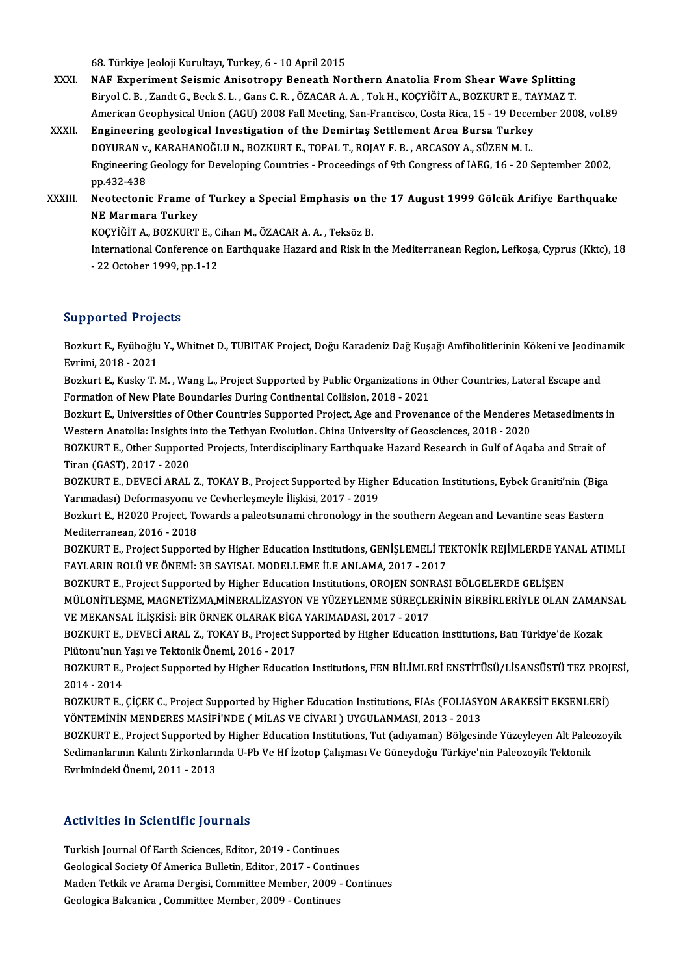68.Türkiye JeolojiKurultayı,Turkey,6 -10April2015

- XXXI. NAF Experiment Seismic Anisotropy Beneath Northern Anatolia From Shear Wave Splitting Biryol C.B., Zandt G., Beck S.L., Gans C.R., ÖZACAR A.A., Tok H., KOCYİĞİT A., BOZKURT E., TAYMAZ T. NAF Experiment Seismic Anisotropy Beneath Northern Anatolia From Shear Wave Splitting<br>Biryol C. B. , Zandt G., Beck S. L. , Gans C. R. , ÖZACAR A. A. , Tok H., KOÇYİĞİT A., BOZKURT E., TAYMAZ T.<br>American Geophysical Union Biryol C. B., Zandt G., Beck S. L., Gans C. R., ÖZACAR A. A., Tok H., KOÇYİĞİT A., BOZKURT E., TA<br>American Geophysical Union (AGU) 2008 Fall Meeting, San-Francisco, Costa Rica, 15 - 19 Decen<br>XXXII. Engineering geological I
- American Geophysical Union (AGU) 2008 Fall Meeting, San-Francisco, Costa Rica, 15 19 Decel<br>Engineering geological Investigation of the Demirtas Settlement Area Bursa Turkey<br>DOYURAN v., KARAHANOĞLU N., BOZKURT E., TOPAL T Engineering geological Investigation of the Demirtas Settlement Area Bursa Turkey<br>DOYURAN v., KARAHANOĞLU N., BOZKURT E., TOPAL T., ROJAY F. B. , ARCASOY A., SÜZEN M. L.<br>Engineering Geology for Developing Countries - Proce DOYURAN v., KARAHANOĞLU N., BOZKURT E., TOPAL T., ROJAY F. B., ARCASOY A., SÜZEN M. L. Engineering Geology for Developing Countries - Proceedings of 9th Congress of IAEG, 16 - 20 September 2002,<br>pp.432-438<br>XXXIII. Neotectonic Frame of Turkey a Special Emphasis on the 17 August 1999 Gölcük Arifiye Earthquake

# pp.432-438<br>Neotectonic Frame o<br>NE Marmara Turkey<br>vocvičir A, Pozvupr Neotectonic Frame of Turkey a Special Emphasis on t<br>NE Marmara Turkey<br>KOÇYİĞİT A., BOZKURT E., Cihan M., ÖZACAR A. A. , Teksöz B.<br>International Conference en Farthaueke Harerd and Biek in .

KOCYİĞİT A., BOZKURT E., Cihan M., ÖZACAR A. A., Teksöz B.

NE Marmara Turkey<br>KOÇYİĞİT A., BOZKURT E., Cihan M., ÖZACAR A. A. , Teksöz B.<br>International Conference on Earthquake Hazard and Risk in the Mediterranean Region, Lefkoşa, Cyprus (Kktc), 18<br>- 22 October 1999, pp.1-12

#### Supported Projects

**Supported Projects**<br>Bozkurt E., Eyüboğlu Y., Whitnet D., TUBITAK Project, Doğu Karadeniz Dağ Kuşağı Amfibolitlerinin Kökeni ve Jeodinamik<br>Evrimi, 2018, ...2931 Bazkurt E., Eyüboğlu<br>Bozkurt E., Eyüboğlu<br>Evrimi, 2018 - 2021 Bozkurt E., Eyüboğlu Y., Whitnet D., TUBITAK Project, Doğu Karadeniz Dağ Kuşağı Amfibolitlerinin Kökeni ve Jeodina<br>Evrimi, 2018 - 2021<br>Bozkurt E., Kusky T. M. , Wang L., Project Supported by Public Organizations in Other C

Evrimi, 2018 - 2021<br>Bozkurt E., Kusky T. M. , Wang L., Project Supported by Public Organizations in<br>Formation of New Plate Boundaries During Continental Collision, 2018 - 2021<br>Bozkurt E. Universities of Other Countries Sup Bozkurt E., Kusky T. M. , Wang L., Project Supported by Public Organizations in Other Countries, Lateral Escape and<br>Formation of New Plate Boundaries During Continental Collision, 2018 - 2021<br>Bozkurt E., Universities of Ot

Formation of New Plate Boundaries During Continental Collision, 2018 - 2021<br>Bozkurt E., Universities of Other Countries Supported Project, Age and Provenance of the Menderes Metasediments in<br>Western Anatolia: Insights into Bozkurt E., Universities of Other Countries Supported Project, Age and Provenance of the Menderes Metasediments<br>Western Anatolia: Insights into the Tethyan Evolution. China University of Geosciences, 2018 - 2020<br>BOZKURT E.

Western Anatolia: Insights<br>BOZKURT E., Other Support<br>Tiran (GAST), 2017 - 2020<br>BOZKURT E., DEVECI ABAL BOZKURT E., Other Supported Projects, Interdisciplinary Earthquake Hazard Research in Gulf of Aqaba and Strait of<br>Tiran (GAST), 2017 - 2020<br>BOZKURT E., DEVECİ ARAL Z., TOKAY B., Project Supported by Higher Education Instit

Tiran (GAST), 2017 - 2020<br>BOZKURT E., DEVECİ ARAL Z., TOKAY B., Project Supported by Highe<br>Yarımadası) Deformasyonu ve Cevherleşmeyle İlişkisi, 2017 - 2019<br>Bozkutt E. H2020 Project Tourads e poleotsunami shranologu in ti BOZKURT E., DEVECİ ARAL Z., TOKAY B., Project Supported by Higher Education Institutions, Eybek Graniti'nin (Biga<br>Yarımadası) Deformasyonu ve Cevherleşmeyle İlişkisi, 2017 - 2019<br>Bozkurt E., H2020 Project, Towards a paleot

Yarımadası) Deformasyonu ve Cevherleşmeyle İlişkisi, 2017 - 2019<br>Bozkurt E., H2020 Project, Towards a paleotsunami chronology in the southern Aegean and Levantine seas Eastern<br>Mediterranean, 2016 - 2018 Bozkurt E., H2020 Project, Towards a paleotsunami chronology in the southern Aegean and Levantine seas Eastern<br>Mediterranean, 2016 - 2018<br>BOZKURT E., Project Supported by Higher Education Institutions, GENİŞLEMELİ TEKTONİK

Mediterranean, 2016 - 2018<br>BOZKURT E., Project Supported by Higher Education Institutions, GENİŞLEMELİ TE<br>FAYLARIN ROLÜ VE ÖNEMİ: 3B SAYISAL MODELLEME İLE ANLAMA, 2017 - 2017<br>BOZKUPT E. Project Supported bu Higher Educatio BOZKURT E., Project Supported by Higher Education Institutions, GENİŞLEMELİ TEKTONİK REJİMLERDE YA<br>FAYLARIN ROLÜ VE ÖNEMİ: 3B SAYISAL MODELLEME İLE ANLAMA, 2017 - 2017<br>BOZKURT E., Project Supported by Higher Education Inst

FAYLARIN ROLÜ VE ÖNEMİ: 3B SAYISAL MODELLEME İLE ANLAMA, 2017 - 2017<br>BOZKURT E., Project Supported by Higher Education Institutions, OROJEN SONRASI BÖLGELERDE GELİŞEN<br>MÜLONİTLEŞME, MAGNETİZMA,MİNERALİZASYON VE YÜZEYLENME S BOZKURT E., Project Supported by Higher Education Institutions, OROJEN SONI<br>MÜLONİTLEŞME, MAGNETİZMA,MİNERALİZASYON VE YÜZEYLENME SÜREÇLE<br>VE MEKANSAL İLİŞKİSİ: BİR ÖRNEK OLARAK BİGA YARIMADASI, 2017 - 2017<br>BOZKUPT E. DEVEC MÜLONİTLEŞME, MAGNETİZMA,MİNERALİZASYON VE YÜZEYLENME SÜREÇLERİNİN BİRBİRLERİYLE OLAN ZAMAN<br>VE MEKANSAL İLİŞKİSİ: BİR ÖRNEK OLARAK BİGA YARIMADASI, 2017 - 2017<br>BOZKURT E., DEVECİ ARAL Z., TOKAY B., Project Supported by Hig

VE MEKANSAL İLİŞKİSİ: BİR ÖRNEK OLARAK BİGA<br>BOZKURT E., DEVECİ ARAL Z., TOKAY B., Project Sı<br>Plütonu'nun Yaşı ve Tektonik Önemi, 2016 - 2017<br>BOZKUPT E. Project Sunnerted bu Hirber Educati BOZKURT E., DEVECİ ARAL Z., TOKAY B., Project Supported by Higher Education Institutions, Batı Türkiye'de Kozak<br>Plütonu'nun Yaşı ve Tektonik Önemi, 2016 - 2017<br>BOZKURT E., Project Supported by Higher Education Institutions

Plütonu'nun Yaşı ve Tektonik Önemi, 2016 - 2017<br>BOZKURT E., Project Supported by Higher Education Institutions, FEN BİLİMLERİ ENSTİTÜSÜ/LİSANSÜSTÜ TEZ PROJESİ,<br>2014 - 2014 BOZKURT E., Project Supported by Higher Education Institutions, FEN BİLİMLERİ ENSTİTÜSÜ/LİSANSÜSTÜ TEZ PROJ.<br>2014 - 2014<br>BOZKURT E., ÇİÇEK C., Project Supported by Higher Education Institutions, FIAs (FOLIASYON ARAKESİT EK

2014 - 2014<br>BOZKURT E., ÇİÇEK C., Project Supported by Higher Education Institutions, FIAs (FOLIASY)<br>YÖNTEMİNİN MENDERES MASİFİ'NDE ( MİLAS VE CİVARI ) UYGULANMASI, 2013 - 2013<br>BOZKUPT E. Project Supported bu Higher Educat BOZKURT E., ÇİÇEK C., Project Supported by Higher Education Institutions, FIAs (FOLIASYON ARAKESİT EKSENLERİ)<br>YÖNTEMİNİN MENDERES MASİFİ'NDE ( MİLAS VE CİVARI ) UYGULANMASI, 2013 - 2013<br>BOZKURT E., Project Supported by Hig

YÖNTEMİNİN MENDERES MASİFİ'NDE ( MİLAS VE CİVARI ) UYGULANMASI, 2013 - 2013<br>BOZKURT E., Project Supported by Higher Education Institutions, Tut (adıyaman) Bölgesinde Yüzeyleyen Alt Paleo<br>Sedimanlarının Kalıntı Zirkonlarınd BOZKURT E., Project Supported b<br>Sedimanlarının Kalıntı Zirkonlarıı<br>Evrimindeki Önemi, 2011 - 2013

# Evrimindeki Önemi, 2011 - 2013<br>Activities in Scientific Journals

Turkish Journal Of Earth Sciences, Editor, 2019 - Continues Turkish Journal Of Earth Sciences, Editor, 2019 - Continues<br>Geological Society Of America Bulletin, Editor, 2017 - Continues<br>Madan Tatkik we Anama Dengisi, Committee Member, 2009 - Con Maden Tetkik ve Arama Dergisi, Committee Member, 2009 - Continues<br>Geologica Balcanica , Committee Member, 2009 - Continues Geological Society Of America Bulletin, Editor, 2017 - Contin<br>Maden Tetkik ve Arama Dergisi, Committee Member, 2009<br>Geologica Balcanica , Committee Member, 2009 - Continues